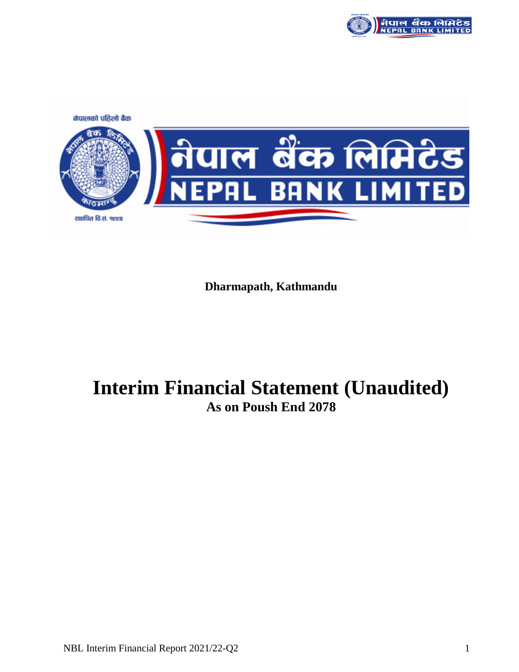

नेपालको पहिलो बैक <u>।।<br>IN बुँक लिमिटुट</u><br>PAL BANK LIMITED रथापित वि.सं. १९९८

**Dharmapath, Kathmandu**

# **Interim Financial Statement (Unaudited) As on Poush End 2078**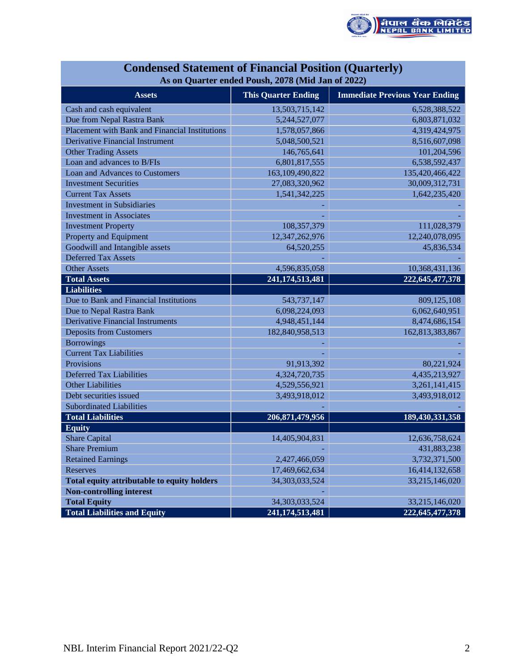

|                                                | As on Quarter ended Poush, 2078 (Mid Jan of 2022) |                                       |
|------------------------------------------------|---------------------------------------------------|---------------------------------------|
| <b>Assets</b>                                  | <b>This Quarter Ending</b>                        | <b>Immediate Previous Year Ending</b> |
| Cash and cash equivalent                       | 13,503,715,142                                    | 6,528,388,522                         |
| Due from Nepal Rastra Bank                     | 5,244,527,077                                     | 6,803,871,032                         |
| Placement with Bank and Financial Institutions | 1,578,057,866                                     | 4,319,424,975                         |
| Derivative Financial Instrument                | 5,048,500,521                                     | 8,516,607,098                         |
| <b>Other Trading Assets</b>                    | 146,765,641                                       | 101,204,596                           |
| Loan and advances to B/FIs                     | 6,801,817,555                                     | 6,538,592,437                         |
| Loan and Advances to Customers                 | 163,109,490,822                                   | 135,420,466,422                       |
| <b>Investment Securities</b>                   | 27,083,320,962                                    | 30,009,312,731                        |
| <b>Current Tax Assets</b>                      | 1,541,342,225                                     | 1,642,235,420                         |
| <b>Investment in Subsidiaries</b>              |                                                   |                                       |
| <b>Investment in Associates</b>                |                                                   |                                       |
| <b>Investment Property</b>                     | 108, 357, 379                                     | 111,028,379                           |
| Property and Equipment                         | 12,347,262,976                                    | 12,240,078,095                        |
| Goodwill and Intangible assets                 | 64,520,255                                        | 45,836,534                            |
| <b>Deferred Tax Assets</b>                     |                                                   |                                       |
| <b>Other Assets</b>                            | 4,596,835,058                                     | 10,368,431,136                        |
| <b>Total Assets</b>                            | 241, 174, 513, 481                                | 222, 645, 477, 378                    |
| <b>Liabilities</b>                             |                                                   |                                       |
| Due to Bank and Financial Institutions         | 543,737,147                                       | 809,125,108                           |
| Due to Nepal Rastra Bank                       | 6,098,224,093                                     | 6,062,640,951                         |
| <b>Derivative Financial Instruments</b>        | 4,948,451,144                                     | 8,474,686,154                         |
| <b>Deposits from Customers</b>                 | 182,840,958,513                                   | 162,813,383,867                       |
| <b>Borrowings</b>                              |                                                   |                                       |
| <b>Current Tax Liabilities</b>                 |                                                   |                                       |
| Provisions                                     | 91,913,392                                        | 80,221,924                            |
| <b>Deferred Tax Liabilities</b>                | 4,324,720,735                                     | 4,435,213,927                         |
| <b>Other Liabilities</b>                       | 4,529,556,921                                     | 3,261,141,415                         |
| Debt securities issued                         | 3,493,918,012                                     | 3,493,918,012                         |
| <b>Subordinated Liabilities</b>                |                                                   |                                       |
| <b>Total Liabilities</b>                       | 206,871,479,956                                   | 189,430,331,358                       |
| <b>Equity</b>                                  |                                                   |                                       |
| <b>Share Capital</b>                           | 14,405,904,831                                    | 12,636,758,624                        |
| <b>Share Premium</b>                           |                                                   | 431,883,238                           |
| <b>Retained Earnings</b>                       | 2,427,466,059                                     | 3,732,371,500                         |
| <b>Reserves</b>                                | 17,469,662,634                                    | 16,414,132,658                        |
| Total equity attributable to equity holders    | 34, 303, 033, 524                                 | 33,215,146,020                        |
| <b>Non-controlling interest</b>                |                                                   |                                       |
| <b>Total Equity</b>                            | 34, 303, 033, 524                                 | 33,215,146,020                        |
| <b>Total Liabilities and Equity</b>            | 241, 174, 513, 481                                | 222, 645, 477, 378                    |

## **Condensed Statement of Financial Position (Quarterly) As on Quarter ended Poush, 2078 (Mid Jan of 2022)**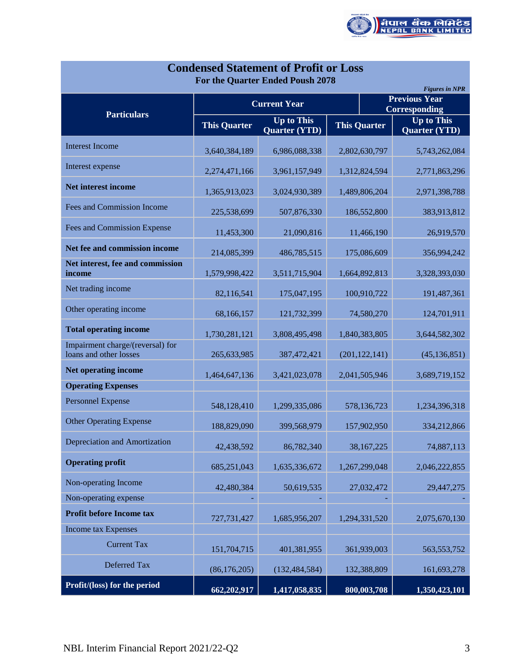

| <b>Condensed Statement of Profit or Loss</b><br>For the Quarter Ended Poush 2078<br><b>Figures in NPR</b> |                     |                                    |                     |                                           |  |  |  |  |  |  |  |
|-----------------------------------------------------------------------------------------------------------|---------------------|------------------------------------|---------------------|-------------------------------------------|--|--|--|--|--|--|--|
| <b>Particulars</b>                                                                                        |                     | <b>Current Year</b>                |                     | <b>Previous Year</b><br>Corresponding     |  |  |  |  |  |  |  |
|                                                                                                           | <b>This Quarter</b> | <b>Up to This</b><br>Quarter (YTD) | <b>This Quarter</b> | <b>Up to This</b><br><b>Quarter (YTD)</b> |  |  |  |  |  |  |  |
| <b>Interest Income</b>                                                                                    | 3,640,384,189       | 6,986,088,338                      | 2,802,630,797       | 5,743,262,084                             |  |  |  |  |  |  |  |
| Interest expense                                                                                          | 2,274,471,166       | 3,961,157,949                      | 1,312,824,594       | 2,771,863,296                             |  |  |  |  |  |  |  |
| Net interest income                                                                                       | 1,365,913,023       | 3,024,930,389                      | 1,489,806,204       | 2,971,398,788                             |  |  |  |  |  |  |  |
| Fees and Commission Income                                                                                | 225,538,699         | 507,876,330                        | 186,552,800         | 383,913,812                               |  |  |  |  |  |  |  |
| Fees and Commission Expense                                                                               | 11,453,300          | 21,090,816                         | 11,466,190          | 26,919,570                                |  |  |  |  |  |  |  |
| Net fee and commission income                                                                             | 214,085,399         | 486,785,515                        | 175,086,609         | 356,994,242                               |  |  |  |  |  |  |  |
| Net interest, fee and commission<br>income                                                                | 1,579,998,422       | 3,511,715,904                      | 1,664,892,813       | 3,328,393,030                             |  |  |  |  |  |  |  |
| Net trading income                                                                                        | 82,116,541          | 175,047,195                        | 100,910,722         | 191,487,361                               |  |  |  |  |  |  |  |
| Other operating income                                                                                    | 68,166,157          | 121,732,399                        | 74,580,270          | 124,701,911                               |  |  |  |  |  |  |  |
| <b>Total operating income</b>                                                                             | 1,730,281,121       | 3,808,495,498                      | 1,840,383,805       | 3,644,582,302                             |  |  |  |  |  |  |  |
| Impairment charge/(reversal) for<br>loans and other losses                                                | 265,633,985         | 387,472,421                        | (201, 122, 141)     | (45, 136, 851)                            |  |  |  |  |  |  |  |
| Net operating income                                                                                      | 1,464,647,136       | 3,421,023,078                      | 2,041,505,946       | 3,689,719,152                             |  |  |  |  |  |  |  |
| <b>Operating Expenses</b>                                                                                 |                     |                                    |                     |                                           |  |  |  |  |  |  |  |
| <b>Personnel Expense</b>                                                                                  | 548,128,410         | 1,299,335,086                      | 578,136,723         | 1,234,396,318                             |  |  |  |  |  |  |  |
| <b>Other Operating Expense</b>                                                                            | 188,829,090         | 399,568,979                        | 157,902,950         | 334,212,866                               |  |  |  |  |  |  |  |
| Depreciation and Amortization                                                                             | 42,438,592          | 86,782,340                         | 38,167,225          | 74,887,113                                |  |  |  |  |  |  |  |
| <b>Operating profit</b>                                                                                   | 685,251,043         | 1,635,336,672                      | 1,267,299,048       | 2,046,222,855                             |  |  |  |  |  |  |  |
| Non-operating Income                                                                                      | 42,480,384          | 50,619,535                         | 27,032,472          | 29,447,275                                |  |  |  |  |  |  |  |
| Non-operating expense                                                                                     |                     |                                    |                     |                                           |  |  |  |  |  |  |  |
| Profit before Income tax                                                                                  | 727,731,427         | 1,685,956,207                      | 1,294,331,520       | 2,075,670,130                             |  |  |  |  |  |  |  |
| <b>Income tax Expenses</b>                                                                                |                     |                                    |                     |                                           |  |  |  |  |  |  |  |
| <b>Current Tax</b>                                                                                        | 151,704,715         | 401,381,955                        | 361,939,003         | 563, 553, 752                             |  |  |  |  |  |  |  |
| Deferred Tax                                                                                              | (86, 176, 205)      | (132, 484, 584)                    | 132,388,809         | 161,693,278                               |  |  |  |  |  |  |  |
| Profit/(loss) for the period                                                                              | 662,202,917         | 1,417,058,835                      | 800,003,708         | 1,350,423,101                             |  |  |  |  |  |  |  |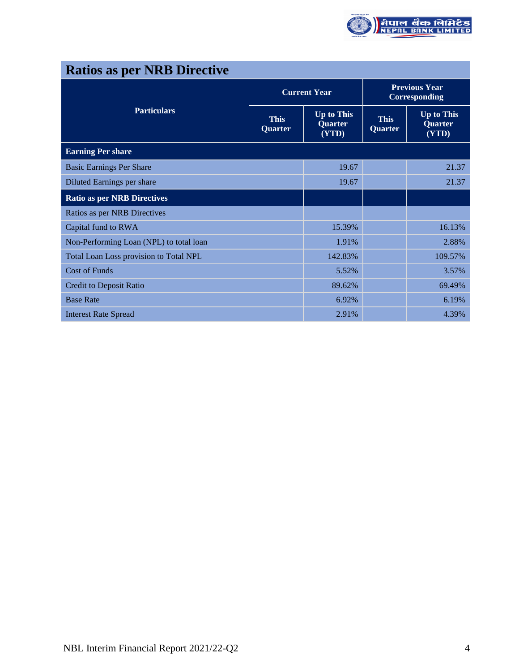

| <b>Ratios as per NRB Directive</b>      |                        |                                       |                                       |                                       |  |
|-----------------------------------------|------------------------|---------------------------------------|---------------------------------------|---------------------------------------|--|
|                                         |                        | <b>Current Year</b>                   | <b>Previous Year</b><br>Corresponding |                                       |  |
| <b>Particulars</b>                      | <b>This</b><br>Quarter | <b>Up to This</b><br>Quarter<br>(YTD) | <b>This</b><br>Quarter                | <b>Up to This</b><br>Quarter<br>(YTD) |  |
| <b>Earning Per share</b>                |                        |                                       |                                       |                                       |  |
| <b>Basic Earnings Per Share</b>         |                        | 19.67                                 |                                       | 21.37                                 |  |
| Diluted Earnings per share              |                        | 19.67                                 |                                       | 21.37                                 |  |
| <b>Ratio as per NRB Directives</b>      |                        |                                       |                                       |                                       |  |
| Ratios as per NRB Directives            |                        |                                       |                                       |                                       |  |
| Capital fund to RWA                     |                        | 15.39%                                |                                       | 16.13%                                |  |
| Non-Performing Loan (NPL) to total loan |                        | 1.91%                                 |                                       | 2.88%                                 |  |
| Total Loan Loss provision to Total NPL  |                        | 142.83%                               |                                       | 109.57%                               |  |
| <b>Cost of Funds</b>                    |                        | 5.52%                                 |                                       | 3.57%                                 |  |
| <b>Credit to Deposit Ratio</b>          |                        | 89.62%                                |                                       | 69.49%                                |  |
| <b>Base Rate</b>                        |                        | 6.92%                                 |                                       | 6.19%                                 |  |
| <b>Interest Rate Spread</b>             |                        | 2.91%                                 |                                       | 4.39%                                 |  |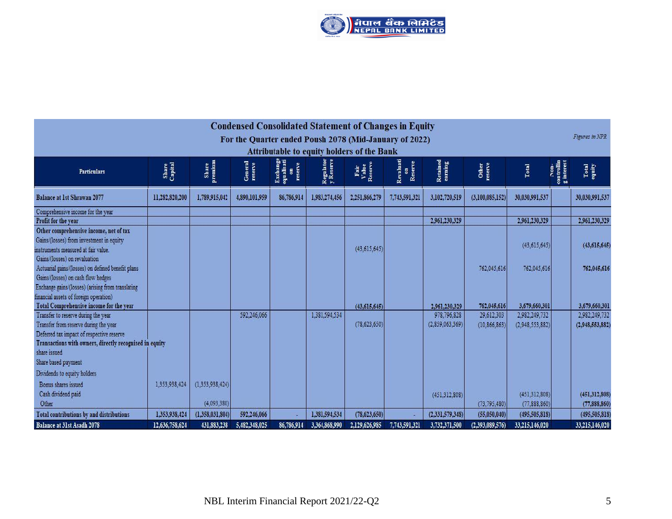

| <b>Condensed Consolidated Statement of Changes in Equity</b><br>For the Quarter ended Poush 2078 (Mid-January of 2022)                                                                                                      |                  |                                |                    |                                         |                        |                          |                            |                                  |                            |                                  | Figures in NPR                   |                                    |
|-----------------------------------------------------------------------------------------------------------------------------------------------------------------------------------------------------------------------------|------------------|--------------------------------|--------------------|-----------------------------------------|------------------------|--------------------------|----------------------------|----------------------------------|----------------------------|----------------------------------|----------------------------------|------------------------------------|
| <b>Attributable to equity holders of the Bank</b>                                                                                                                                                                           |                  |                                |                    |                                         |                        |                          |                            |                                  |                            |                                  |                                  |                                    |
| <b>Particulars</b>                                                                                                                                                                                                          | Share<br>Capital | Share<br>premium               | General<br>reserve | Exchange<br>equalisati<br>on<br>reserve | Regulator<br>y Reserve | Fair<br>Value<br>Reserve | Revaluati<br>on<br>Reserve | Retained<br>earning              | Other<br>reserve           | Total                            | controllin<br>g interest<br>Ron. | Total<br>equity                    |
| <b>Balance at 1st Shrawan 2077</b>                                                                                                                                                                                          | 11,282,820,200   | 1,789,915,042                  | 4,890,101,959      | 86,786,914                              | 1,983,274,456          | 2,251,866,279            | 7,743,591,321              | 3,102,720,519                    | (3,100,085,152)            | 30,030,991,537                   |                                  | 30,030,991,537                     |
| Comprehensive income for the year<br>Profit for the year                                                                                                                                                                    |                  |                                |                    |                                         |                        |                          |                            | 2,961,230,329                    |                            | 2,961,230,329                    |                                  | 2,961,230,329                      |
| Other comprehensive income, net of tax<br>Gains/(losses) from investment in equity<br>instruments measured at fair value.<br>Gains/(losses) on revaluation                                                                  |                  |                                |                    |                                         |                        | (43, 615, 645)           |                            |                                  |                            | (43, 615, 645)                   |                                  | (43, 615, 645)                     |
| Actuarial gains/(losses) on defined benefit plans<br>Gains/(losses) on cash flow hedges<br>Exchange gains/(losses) (arising from translating<br>financial assets of foreign operation)                                      |                  |                                |                    |                                         |                        |                          |                            |                                  | 762.045.616                | 762.045.616                      |                                  | 762,045,616                        |
| Total Comprehensive income for the year                                                                                                                                                                                     |                  |                                |                    |                                         |                        | (43, 615, 645)           |                            | 2,961,230,329                    | 762,045,616                | 3,679,660,301                    |                                  | 3,679,660,301                      |
| Transfer to reserve during the year<br>Transfer from reserve during the year<br>Deferred tax impact of respective reserve<br>Transactions with owners, directly recognised in equity<br>share issued<br>Share based payment |                  |                                | 592,246,066        |                                         | 1,381,594,534          | (78, 623, 650)           |                            | 978,796,828<br>(2.859, 063, 369) | 29,612,303<br>(10.866.863) | 2,982,249,732<br>(2,948,553,882) |                                  | 2,982,249,732<br>(2.948, 553, 882) |
| Dividends to equity holders<br>Bonus shares issued<br>Cash dividend paid<br>Other                                                                                                                                           | 1,353,938,424    | (1.353.938.424)<br>(4.093.380) |                    |                                         |                        |                          |                            | (451.312.808)                    | (73.795.480)               | (451.312.808)<br>(77,888,860)    |                                  | (451.312.808)<br>(77,888,860)      |
| Total contributions by and distributions                                                                                                                                                                                    | 1,353,938,424    | (1,358,031,804)                | 592,246,066        |                                         | 1,381,594,534          | (78, 623, 650)           |                            | (2,331,579,348)                  | (55,050,040)               | (495, 505, 818)                  |                                  | (495, 505, 818)                    |
| Balance at 31st Asadh 2078                                                                                                                                                                                                  | 12,636,758,624   | 431,883,238                    | 5,482,348,025      | 86,786,914                              | 3,364,868,990          | 2,129,626,985            | 7,743,591,321              | 3,732,371,500                    | (2,393,089,576)            | 33,215,146,020                   |                                  | 33,215,146,020                     |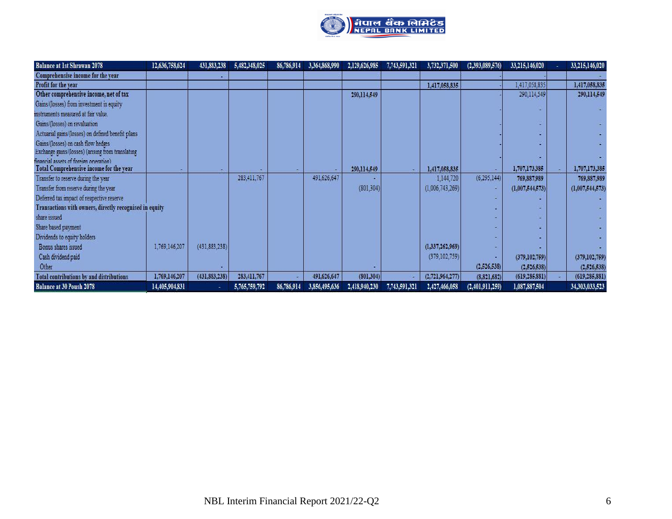

| Balance at 1st Shrawan 2078                                                             | 12,636,758,624 | 431,883,238     | 5,482,348,025 | 86,786,914 | 3,364,868,990 | 2,129,626,985 | 7,743,591,321 | 3,732,371,500   | (2,393,089,576) | 33,215,146,020  | 33,215,146,020  |
|-----------------------------------------------------------------------------------------|----------------|-----------------|---------------|------------|---------------|---------------|---------------|-----------------|-----------------|-----------------|-----------------|
| Comprehensive income for the year                                                       |                |                 |               |            |               |               |               |                 |                 |                 |                 |
| Profit for the year                                                                     |                |                 |               |            |               |               |               | 1,417,058,835   |                 | 1,417,058,835   | 1,417,058,835   |
| Other comprehensive income, net of tax                                                  |                |                 |               |            |               | 290,114,549   |               |                 |                 | 290,114,549     | 290,114,549     |
| Gains/(losses) from investment in equity                                                |                |                 |               |            |               |               |               |                 |                 |                 |                 |
| instruments measured at fair value.                                                     |                |                 |               |            |               |               |               |                 |                 |                 |                 |
| Gains/(losses) on revaluation                                                           |                |                 |               |            |               |               |               |                 |                 |                 |                 |
| Actuarial gains (losses) on defined benefit plans                                       |                |                 |               |            |               |               |               |                 |                 |                 |                 |
| Gains/(losses) on cash flow hedges<br>Exchange gains/(losses) (arising from translating |                |                 |               |            |               |               |               |                 |                 |                 |                 |
| financial assets of foreign operation).                                                 |                |                 |               |            |               |               |               |                 |                 |                 |                 |
| Total Comprehensive income for the year                                                 |                |                 |               |            |               | 290,114,549   |               | 1,417,058,835   |                 | 1,707,173,385   | 1,707,173,385   |
| Transfer to reserve during the year                                                     |                |                 | 283,411,767   |            | 491,626,647   |               |               | 1,144,720       | (6, 295, 144)   | 769,887,989     | 769,887,989     |
| Transfer from reserve during the year                                                   |                |                 |               |            |               | (801, 304)    |               | (1,006,743,269) |                 | (1,007,544,573) | (1,007,544,573) |
| Deferred tax impact of respective reserve                                               |                |                 |               |            |               |               |               |                 |                 |                 |                 |
| Transactions with owners, directly recognised in equity                                 |                |                 |               |            |               |               |               |                 |                 |                 |                 |
| share issued                                                                            |                |                 |               |            |               |               |               |                 |                 |                 |                 |
| Share based payment                                                                     |                |                 |               |            |               |               |               |                 |                 |                 |                 |
| Dividends to equity holders                                                             |                |                 |               |            |               |               |               |                 |                 |                 |                 |
| Bonus shares issued                                                                     | 1,769,146,207  | (431, 883, 238) |               |            |               |               |               | (1,337,262,969) |                 |                 |                 |
| Cash dividend paid                                                                      |                |                 |               |            |               |               |               | (379, 102, 759) |                 | (379, 102, 759) | (379, 102, 759) |
| Other                                                                                   |                |                 |               |            |               |               |               |                 | (2,526,538)     | (2,526,538)     | (2,526,538)     |
| Total contributions by and distributions                                                | 1,769,146,207  | (431, 883, 238) | 283,411,767   |            | 491,626,647   | (801, 304)    |               | (2,721,964,277) | (8,821,682)     | (619, 285, 881) | (619, 285, 881) |
| <b>Balance at 30 Poush 2078</b>                                                         | 14,405,904,831 |                 | 5,765,759,792 | 86,786,914 | 3,856,495,636 | 2,418,940,230 | 7,743,591,321 | 2,427,466,058   | (2,401,911,259) | 1,087,887,504   | 34,303,033,523  |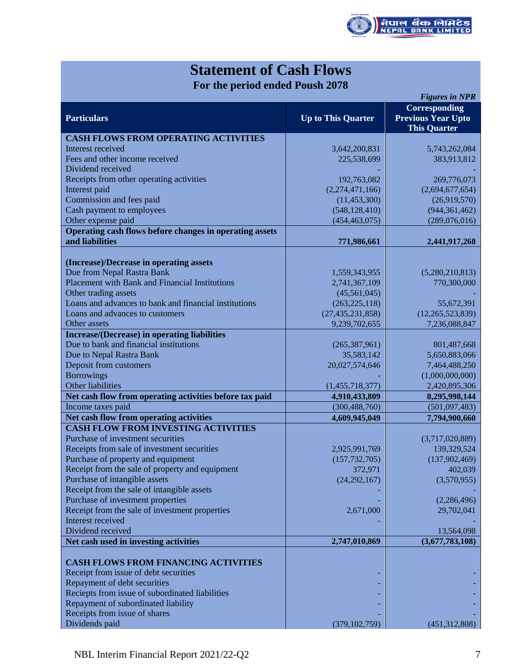

## **Statement of Cash Flows For the period ended Poush 2078**

| Corresponding<br><b>Particulars</b><br><b>Previous Year Upto</b><br><b>Up to This Quarter</b><br><b>This Quarter</b> |  |
|----------------------------------------------------------------------------------------------------------------------|--|
|                                                                                                                      |  |
| <b>CASH FLOWS FROM OPERATING ACTIVITIES</b>                                                                          |  |
| Interest received<br>3,642,200,831<br>5,743,262,084                                                                  |  |
| Fees and other income received<br>225,538,699<br>383,913,812                                                         |  |
| Dividend received                                                                                                    |  |
| Receipts from other operating activities<br>192,763,082<br>269,776,073                                               |  |
| Interest paid<br>(2,274,471,166)<br>(2,694,677,654)                                                                  |  |
| Commission and fees paid<br>(11, 453, 300)<br>(26,919,570)                                                           |  |
| Cash payment to employees<br>(548, 128, 410)<br>(944, 361, 462)                                                      |  |
| Other expense paid<br>(454, 463, 075)<br>(289,076,016)                                                               |  |
| Operating cash flows before changes in operating assets                                                              |  |
| and liabilities<br>771,986,661<br>2,441,917,268                                                                      |  |
|                                                                                                                      |  |
| (Increase)/Decrease in operating assets                                                                              |  |
| Due from Nepal Rastra Bank<br>1,559,343,955<br>(5,280,210,813)                                                       |  |
| <b>Placement with Bank and Financial Institutions</b><br>2,741,367,109<br>770,300,000                                |  |
| Other trading assets<br>(45,561,045)                                                                                 |  |
| Loans and advances to bank and financial institutions<br>(263, 225, 118)<br>55,672,391                               |  |
| Loans and advances to customers<br>(27, 435, 231, 858)<br>(12,265,523,839)                                           |  |
| Other assets<br>9,239,702,655<br>7,236,088,847                                                                       |  |
| <b>Increase/(Decrease)</b> in operating liabilities                                                                  |  |
| Due to bank and financial institutions<br>(265, 387, 961)<br>801,487,668                                             |  |
| Due to Nepal Rastra Bank<br>35,583,142<br>5,650,883,066                                                              |  |
| Deposit from customers<br>20,027,574,646<br>7,464,488,250                                                            |  |
| <b>Borrowings</b><br>(1,000,000,000)                                                                                 |  |
| Other liabilities<br>(1,455,718,377)<br>2,420,895,306                                                                |  |
| Net cash flow from operating activities before tax paid<br>4,910,433,809<br>8,295,998,144                            |  |
| Income taxes paid<br>(300, 488, 760)<br>(501,097,483)                                                                |  |
| Net cash flow from operating activities<br>4,609,945,049<br>7,794,900,660                                            |  |
| <b>CASH FLOW FROM INVESTING ACTIVITIES</b>                                                                           |  |
| Purchase of investment securities<br>(3,717,020,889)                                                                 |  |
| Receipts from sale of investment securities<br>2,925,991,769<br>139,329,524                                          |  |
| Purchase of property and equipment<br>(157, 732, 705)<br>(137,902,469)                                               |  |
| Receipt from the sale of property and equipment<br>372,971<br>402,039                                                |  |
| Purchase of intangible assets<br>(24, 292, 167)<br>(3,570,955)                                                       |  |
| Receipt from the sale of intangible assets                                                                           |  |
| Purchase of investment properties<br>(2,286,496)                                                                     |  |
| Receipt from the sale of investment properties<br>2,671,000<br>29,702,041<br>Interest received                       |  |
| Dividend received<br>13,564,098                                                                                      |  |
| Net cash used in investing activities<br>(3,677,783,108)<br>2,747,010,869                                            |  |
|                                                                                                                      |  |
| <b>CASH FLOWS FROM FINANCING ACTIVITIES</b>                                                                          |  |
| Receipt from issue of debt securities                                                                                |  |
| Repayment of debt securities                                                                                         |  |
| Reciepts from issue of subordinated liabilities                                                                      |  |
| Repayment of subordinated liability                                                                                  |  |
| Receipts from issue of shares                                                                                        |  |
| Dividends paid<br>(379, 102, 759)<br>(451, 312, 808)                                                                 |  |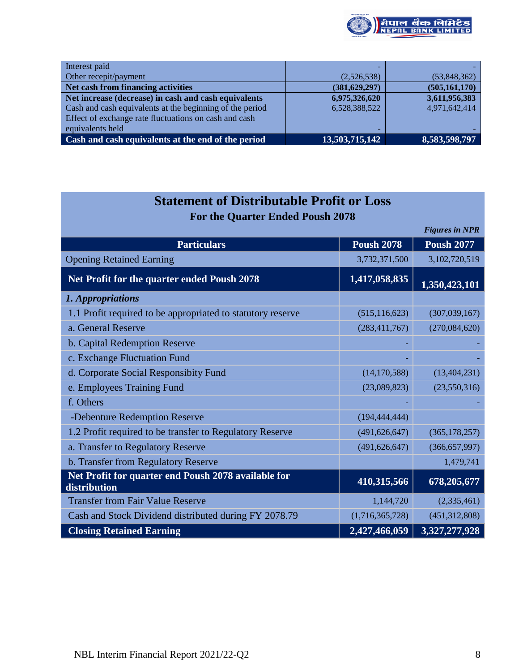

| Interest paid                                            |                 |                 |
|----------------------------------------------------------|-----------------|-----------------|
| Other recepit/payment                                    | (2,526,538)     | (53,848,362)    |
| Net cash from financing activities                       | (381, 629, 297) | (505, 161, 170) |
| Net increase (decrease) in cash and cash equivalents     | 6,975,326,620   | 3,611,956,383   |
| Cash and cash equivalents at the beginning of the period | 6,528,388,522   | 4,971,642,414   |
| Effect of exchange rate fluctuations on cash and cash    |                 |                 |
| equivalents held                                         |                 |                 |
| Cash and cash equivalents at the end of the period       | 13,503,715,142  | 8,583,598,797   |

| <b>Statement of Distributable Profit or Loss</b>                    |                   |                       |  |  |  |  |  |  |  |  |
|---------------------------------------------------------------------|-------------------|-----------------------|--|--|--|--|--|--|--|--|
| <b>For the Quarter Ended Poush 2078</b>                             |                   |                       |  |  |  |  |  |  |  |  |
|                                                                     |                   | <b>Figures in NPR</b> |  |  |  |  |  |  |  |  |
| <b>Particulars</b>                                                  | <b>Poush 2078</b> | <b>Poush 2077</b>     |  |  |  |  |  |  |  |  |
| <b>Opening Retained Earning</b>                                     | 3,732,371,500     | 3,102,720,519         |  |  |  |  |  |  |  |  |
| Net Profit for the quarter ended Poush 2078                         | 1,417,058,835     | 1,350,423,101         |  |  |  |  |  |  |  |  |
| 1. Appropriations                                                   |                   |                       |  |  |  |  |  |  |  |  |
| 1.1 Profit required to be appropriated to statutory reserve         | (515, 116, 623)   | (307, 039, 167)       |  |  |  |  |  |  |  |  |
| a. General Reserve                                                  | (283, 411, 767)   | (270,084,620)         |  |  |  |  |  |  |  |  |
| b. Capital Redemption Reserve                                       |                   |                       |  |  |  |  |  |  |  |  |
| c. Exchange Fluctuation Fund                                        |                   |                       |  |  |  |  |  |  |  |  |
| d. Corporate Social Responsibity Fund                               | (14, 170, 588)    | (13, 404, 231)        |  |  |  |  |  |  |  |  |
| e. Employees Training Fund                                          | (23,089,823)      | (23,550,316)          |  |  |  |  |  |  |  |  |
| f. Others                                                           |                   |                       |  |  |  |  |  |  |  |  |
| -Debenture Redemption Reserve                                       | (194, 444, 444)   |                       |  |  |  |  |  |  |  |  |
| 1.2 Profit required to be transfer to Regulatory Reserve            | (491, 626, 647)   | (365, 178, 257)       |  |  |  |  |  |  |  |  |
| a. Transfer to Regulatory Reserve                                   | (491, 626, 647)   | (366, 657, 997)       |  |  |  |  |  |  |  |  |
| b. Transfer from Regulatory Reserve                                 |                   | 1,479,741             |  |  |  |  |  |  |  |  |
| Net Profit for quarter end Poush 2078 available for<br>distribution | 410,315,566       | 678,205,677           |  |  |  |  |  |  |  |  |
| <b>Transfer from Fair Value Reserve</b>                             | 1,144,720         | (2,335,461)           |  |  |  |  |  |  |  |  |
| Cash and Stock Dividend distributed during FY 2078.79               | (1,716,365,728)   | (451, 312, 808)       |  |  |  |  |  |  |  |  |
| <b>Closing Retained Earning</b>                                     | 2,427,466,059     | 3,327,277,928         |  |  |  |  |  |  |  |  |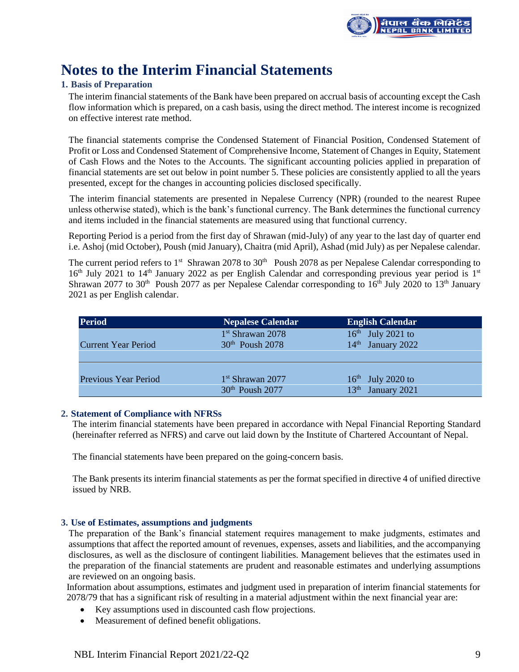

## **Notes to the Interim Financial Statements**

## **1. Basis of Preparation**

The interim financial statements of the Bank have been prepared on accrual basis of accounting except the Cash flow information which is prepared, on a cash basis, using the direct method. The interest income is recognized on effective interest rate method.

The financial statements comprise the Condensed Statement of Financial Position, Condensed Statement of Profit or Loss and Condensed Statement of Comprehensive Income, Statement of Changes in Equity, Statement of Cash Flows and the Notes to the Accounts. The significant accounting policies applied in preparation of financial statements are set out below in point number 5. These policies are consistently applied to all the years presented, except for the changes in accounting policies disclosed specifically.

 The interim financial statements are presented in Nepalese Currency (NPR) (rounded to the nearest Rupee unless otherwise stated), which is the bank's functional currency. The Bank determines the functional currency and items included in the financial statements are measured using that functional currency.

Reporting Period is a period from the first day of Shrawan (mid-July) of any year to the last day of quarter end i.e. Ashoj (mid October), Poush (mid January), Chaitra (mid April), Ashad (mid July) as per Nepalese calendar.

The current period refers to  $1<sup>st</sup>$  Shrawan 2078 to 30<sup>th</sup> Poush 2078 as per Nepalese Calendar corresponding to 16<sup>th</sup> July 2021 to 14<sup>th</sup> January 2022 as per English Calendar and corresponding previous year period is 1<sup>st</sup> Shrawan 2077 to 30<sup>th</sup> Poush 2077 as per Nepalese Calendar corresponding to 16<sup>th</sup> July 2020 to 13<sup>th</sup> January 2021 as per English calendar.

| <b>Period</b>              | <b>Nepalese Calendar</b>     | <b>English Calendar</b>       |
|----------------------------|------------------------------|-------------------------------|
|                            | 1 <sup>st</sup> Shrawan 2078 | $16th$ July 2021 to           |
| <b>Current Year Period</b> | $30th$ Poush 2078            | 14 <sup>th</sup> January 2022 |
|                            |                              |                               |
|                            |                              |                               |
| Previous Year Period       | $1st$ Shrawan 2077           | $16th$ July 2020 to           |
|                            | 30 <sup>th</sup> Poush 2077  | 13 <sup>th</sup> January 2021 |

## **2. Statement of Compliance with NFRSs**

The interim financial statements have been prepared in accordance with Nepal Financial Reporting Standard (hereinafter referred as NFRS) and carve out laid down by the Institute of Chartered Accountant of Nepal.

The financial statements have been prepared on the going-concern basis.

The Bank presents its interim financial statements as per the format specified in directive 4 of unified directive issued by NRB.

## **3. Use of Estimates, assumptions and judgments**

The preparation of the Bank's financial statement requires management to make judgments, estimates and assumptions that affect the reported amount of revenues, expenses, assets and liabilities, and the accompanying disclosures, as well as the disclosure of contingent liabilities. Management believes that the estimates used in the preparation of the financial statements are prudent and reasonable estimates and underlying assumptions are reviewed on an ongoing basis.

Information about assumptions, estimates and judgment used in preparation of interim financial statements for 2078/79 that has a significant risk of resulting in a material adjustment within the next financial year are:

- Key assumptions used in discounted cash flow projections.
- Measurement of defined benefit obligations.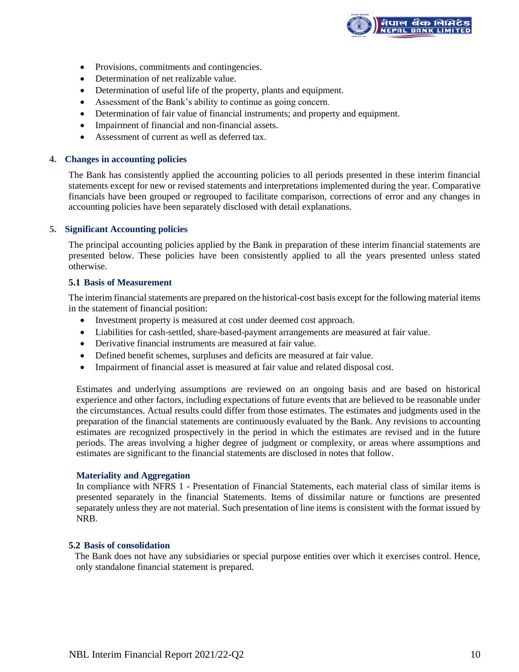

- Provisions, commitments and contingencies.
- Determination of net realizable value.
- Determination of useful life of the property, plants and equipment.
- Assessment of the Bank's ability to continue as going concern.
- Determination of fair value of financial instruments; and property and equipment.
- Impairment of financial and non-financial assets.
- Assessment of current as well as deferred tax.

#### **4. Changes in accounting policies**

The Bank has consistently applied the accounting policies to all periods presented in these interim financial statements except for new or revised statements and interpretations implemented during the year. Comparative financials have been grouped or regrouped to facilitate comparison, corrections of error and any changes in accounting policies have been separately disclosed with detail explanations.

## **5. Significant Accounting policies**

The principal accounting policies applied by the Bank in preparation of these interim financial statements are presented below. These policies have been consistently applied to all the years presented unless stated otherwise.

#### **5.1 Basis of Measurement**

The interim financial statements are prepared on the historical-cost basis except for the following material items in the statement of financial position:

- Investment property is measured at cost under deemed cost approach.
- Liabilities for cash-settled, share-based-payment arrangements are measured at fair value.
- Derivative financial instruments are measured at fair value.
- Defined benefit schemes, surpluses and deficits are measured at fair value.
- Impairment of financial asset is measured at fair value and related disposal cost.

Estimates and underlying assumptions are reviewed on an ongoing basis and are based on historical experience and other factors, including expectations of future events that are believed to be reasonable under the circumstances. Actual results could differ from those estimates. The estimates and judgments used in the preparation of the financial statements are continuously evaluated by the Bank. Any revisions to accounting estimates are recognized prospectively in the period in which the estimates are revised and in the future periods. The areas involving a higher degree of judgment or complexity, or areas where assumptions and estimates are significant to the financial statements are disclosed in notes that follow.

### **Materiality and Aggregation**

In compliance with NFRS 1 - Presentation of Financial Statements, each material class of similar items is presented separately in the financial Statements. Items of dissimilar nature or functions are presented separately unless they are not material. Such presentation of line items is consistent with the format issued by NRB.

## **5.2 Basis of consolidation**

The Bank does not have any subsidiaries or special purpose entities over which it exercises control. Hence, only standalone financial statement is prepared.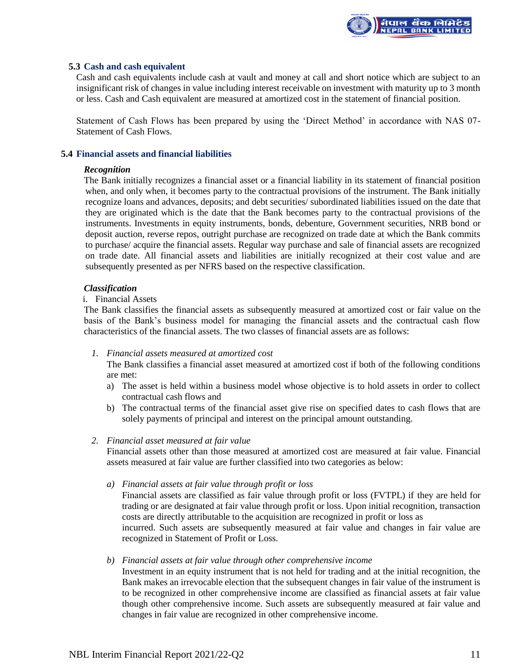

## **5.3 Cash and cash equivalent**

Cash and cash equivalents include cash at vault and money at call and short notice which are subject to an insignificant risk of changes in value including interest receivable on investment with maturity up to 3 month or less. Cash and Cash equivalent are measured at amortized cost in the statement of financial position.

Statement of Cash Flows has been prepared by using the 'Direct Method' in accordance with NAS 07- Statement of Cash Flows.

## **5.4 Financial assets and financial liabilities**

#### *Recognition*

The Bank initially recognizes a financial asset or a financial liability in its statement of financial position when, and only when, it becomes party to the contractual provisions of the instrument. The Bank initially recognize loans and advances, deposits; and debt securities/ subordinated liabilities issued on the date that they are originated which is the date that the Bank becomes party to the contractual provisions of the instruments. Investments in equity instruments, bonds, debenture, Government securities, NRB bond or deposit auction, reverse repos, outright purchase are recognized on trade date at which the Bank commits to purchase/ acquire the financial assets. Regular way purchase and sale of financial assets are recognized on trade date. All financial assets and liabilities are initially recognized at their cost value and are subsequently presented as per NFRS based on the respective classification.

### *Classification*

## i. Financial Assets

The Bank classifies the financial assets as subsequently measured at amortized cost or fair value on the basis of the Bank's business model for managing the financial assets and the contractual cash flow characteristics of the financial assets. The two classes of financial assets are as follows:

#### *1. Financial assets measured at amortized cost*

The Bank classifies a financial asset measured at amortized cost if both of the following conditions are met:

- a) The asset is held within a business model whose objective is to hold assets in order to collect contractual cash flows and
- b) The contractual terms of the financial asset give rise on specified dates to cash flows that are solely payments of principal and interest on the principal amount outstanding.

#### *2. Financial asset measured at fair value*

Financial assets other than those measured at amortized cost are measured at fair value. Financial assets measured at fair value are further classified into two categories as below:

*a) Financial assets at fair value through profit or loss*

Financial assets are classified as fair value through profit or loss (FVTPL) if they are held for trading or are designated at fair value through profit or loss. Upon initial recognition, transaction costs are directly attributable to the acquisition are recognized in profit or loss as incurred. Such assets are subsequently measured at fair value and changes in fair value are

recognized in Statement of Profit or Loss.

## *b) Financial assets at fair value through other comprehensive income*

Investment in an equity instrument that is not held for trading and at the initial recognition, the Bank makes an irrevocable election that the subsequent changes in fair value of the instrument is to be recognized in other comprehensive income are classified as financial assets at fair value though other comprehensive income. Such assets are subsequently measured at fair value and changes in fair value are recognized in other comprehensive income.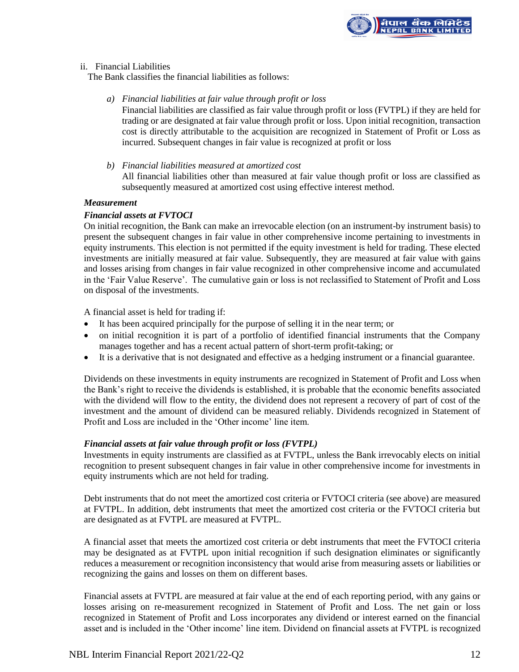

## ii. Financial Liabilities

The Bank classifies the financial liabilities as follows:

*a) Financial liabilities at fair value through profit or loss*

Financial liabilities are classified as fair value through profit or loss (FVTPL) if they are held for trading or are designated at fair value through profit or loss. Upon initial recognition, transaction cost is directly attributable to the acquisition are recognized in Statement of Profit or Loss as incurred. Subsequent changes in fair value is recognized at profit or loss

*b) Financial liabilities measured at amortized cost* All financial liabilities other than measured at fair value though profit or loss are classified as subsequently measured at amortized cost using effective interest method.

### *Measurement*

## *Financial assets at FVTOCI*

On initial recognition, the Bank can make an irrevocable election (on an instrument-by instrument basis) to present the subsequent changes in fair value in other comprehensive income pertaining to investments in equity instruments. This election is not permitted if the equity investment is held for trading. These elected investments are initially measured at fair value. Subsequently, they are measured at fair value with gains and losses arising from changes in fair value recognized in other comprehensive income and accumulated in the 'Fair Value Reserve'. The cumulative gain or loss is not reclassified to Statement of Profit and Loss on disposal of the investments.

A financial asset is held for trading if:

- It has been acquired principally for the purpose of selling it in the near term; or
- on initial recognition it is part of a portfolio of identified financial instruments that the Company manages together and has a recent actual pattern of short-term profit-taking; or
- It is a derivative that is not designated and effective as a hedging instrument or a financial guarantee.

Dividends on these investments in equity instruments are recognized in Statement of Profit and Loss when the Bank's right to receive the dividends is established, it is probable that the economic benefits associated with the dividend will flow to the entity, the dividend does not represent a recovery of part of cost of the investment and the amount of dividend can be measured reliably. Dividends recognized in Statement of Profit and Loss are included in the 'Other income' line item.

## *Financial assets at fair value through profit or loss (FVTPL)*

Investments in equity instruments are classified as at FVTPL, unless the Bank irrevocably elects on initial recognition to present subsequent changes in fair value in other comprehensive income for investments in equity instruments which are not held for trading.

Debt instruments that do not meet the amortized cost criteria or FVTOCI criteria (see above) are measured at FVTPL. In addition, debt instruments that meet the amortized cost criteria or the FVTOCI criteria but are designated as at FVTPL are measured at FVTPL.

A financial asset that meets the amortized cost criteria or debt instruments that meet the FVTOCI criteria may be designated as at FVTPL upon initial recognition if such designation eliminates or significantly reduces a measurement or recognition inconsistency that would arise from measuring assets or liabilities or recognizing the gains and losses on them on different bases.

Financial assets at FVTPL are measured at fair value at the end of each reporting period, with any gains or losses arising on re-measurement recognized in Statement of Profit and Loss. The net gain or loss recognized in Statement of Profit and Loss incorporates any dividend or interest earned on the financial asset and is included in the 'Other income' line item. Dividend on financial assets at FVTPL is recognized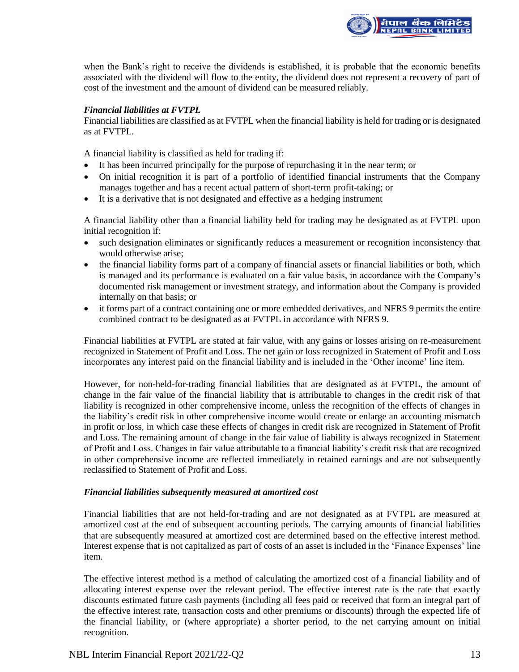

when the Bank's right to receive the dividends is established, it is probable that the economic benefits associated with the dividend will flow to the entity, the dividend does not represent a recovery of part of cost of the investment and the amount of dividend can be measured reliably.

## *Financial liabilities at FVTPL*

Financial liabilities are classified as at FVTPL when the financial liability is held for trading or is designated as at FVTPL.

A financial liability is classified as held for trading if:

- It has been incurred principally for the purpose of repurchasing it in the near term; or
- On initial recognition it is part of a portfolio of identified financial instruments that the Company manages together and has a recent actual pattern of short-term profit-taking; or
- It is a derivative that is not designated and effective as a hedging instrument

A financial liability other than a financial liability held for trading may be designated as at FVTPL upon initial recognition if:

- such designation eliminates or significantly reduces a measurement or recognition inconsistency that would otherwise arise;
- the financial liability forms part of a company of financial assets or financial liabilities or both, which is managed and its performance is evaluated on a fair value basis, in accordance with the Company's documented risk management or investment strategy, and information about the Company is provided internally on that basis; or
- it forms part of a contract containing one or more embedded derivatives, and NFRS 9 permits the entire combined contract to be designated as at FVTPL in accordance with NFRS 9.

Financial liabilities at FVTPL are stated at fair value, with any gains or losses arising on re-measurement recognized in Statement of Profit and Loss. The net gain or loss recognized in Statement of Profit and Loss incorporates any interest paid on the financial liability and is included in the 'Other income' line item.

However, for non-held-for-trading financial liabilities that are designated as at FVTPL, the amount of change in the fair value of the financial liability that is attributable to changes in the credit risk of that liability is recognized in other comprehensive income, unless the recognition of the effects of changes in the liability's credit risk in other comprehensive income would create or enlarge an accounting mismatch in profit or loss, in which case these effects of changes in credit risk are recognized in Statement of Profit and Loss. The remaining amount of change in the fair value of liability is always recognized in Statement of Profit and Loss. Changes in fair value attributable to a financial liability's credit risk that are recognized in other comprehensive income are reflected immediately in retained earnings and are not subsequently reclassified to Statement of Profit and Loss.

#### *Financial liabilities subsequently measured at amortized cost*

Financial liabilities that are not held-for-trading and are not designated as at FVTPL are measured at amortized cost at the end of subsequent accounting periods. The carrying amounts of financial liabilities that are subsequently measured at amortized cost are determined based on the effective interest method. Interest expense that is not capitalized as part of costs of an asset is included in the 'Finance Expenses' line item.

The effective interest method is a method of calculating the amortized cost of a financial liability and of allocating interest expense over the relevant period. The effective interest rate is the rate that exactly discounts estimated future cash payments (including all fees paid or received that form an integral part of the effective interest rate, transaction costs and other premiums or discounts) through the expected life of the financial liability, or (where appropriate) a shorter period, to the net carrying amount on initial recognition.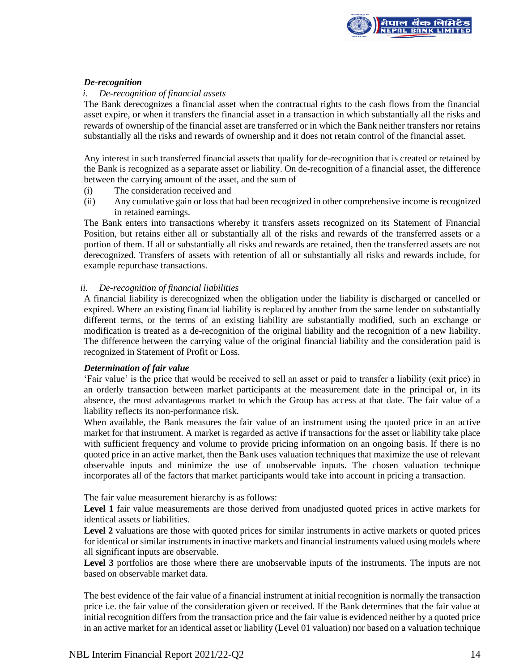

## *De-recognition*

## *i. De-recognition of financial assets*

The Bank derecognizes a financial asset when the contractual rights to the cash flows from the financial asset expire, or when it transfers the financial asset in a transaction in which substantially all the risks and rewards of ownership of the financial asset are transferred or in which the Bank neither transfers nor retains substantially all the risks and rewards of ownership and it does not retain control of the financial asset.

Any interest in such transferred financial assets that qualify for de-recognition that is created or retained by the Bank is recognized as a separate asset or liability. On de-recognition of a financial asset, the difference between the carrying amount of the asset, and the sum of

- (i) The consideration received and
- (ii) Any cumulative gain or loss that had been recognized in other comprehensive income is recognized in retained earnings.

The Bank enters into transactions whereby it transfers assets recognized on its Statement of Financial Position, but retains either all or substantially all of the risks and rewards of the transferred assets or a portion of them. If all or substantially all risks and rewards are retained, then the transferred assets are not derecognized. Transfers of assets with retention of all or substantially all risks and rewards include, for example repurchase transactions.

## *ii. De-recognition of financial liabilities*

A financial liability is derecognized when the obligation under the liability is discharged or cancelled or expired. Where an existing financial liability is replaced by another from the same lender on substantially different terms, or the terms of an existing liability are substantially modified, such an exchange or modification is treated as a de-recognition of the original liability and the recognition of a new liability. The difference between the carrying value of the original financial liability and the consideration paid is recognized in Statement of Profit or Loss.

#### *Determination of fair value*

'Fair value' is the price that would be received to sell an asset or paid to transfer a liability (exit price) in an orderly transaction between market participants at the measurement date in the principal or, in its absence, the most advantageous market to which the Group has access at that date. The fair value of a liability reflects its non-performance risk.

When available, the Bank measures the fair value of an instrument using the quoted price in an active market for that instrument. A market is regarded as active if transactions for the asset or liability take place with sufficient frequency and volume to provide pricing information on an ongoing basis. If there is no quoted price in an active market, then the Bank uses valuation techniques that maximize the use of relevant observable inputs and minimize the use of unobservable inputs. The chosen valuation technique incorporates all of the factors that market participants would take into account in pricing a transaction.

The fair value measurement hierarchy is as follows:

Level 1 fair value measurements are those derived from unadjusted quoted prices in active markets for identical assets or liabilities.

Level 2 valuations are those with quoted prices for similar instruments in active markets or quoted prices for identical or similar instruments in inactive markets and financial instruments valued using models where all significant inputs are observable.

Level 3 portfolios are those where there are unobservable inputs of the instruments. The inputs are not based on observable market data.

The best evidence of the fair value of a financial instrument at initial recognition is normally the transaction price i.e. the fair value of the consideration given or received. If the Bank determines that the fair value at initial recognition differs from the transaction price and the fair value is evidenced neither by a quoted price in an active market for an identical asset or liability (Level 01 valuation) nor based on a valuation technique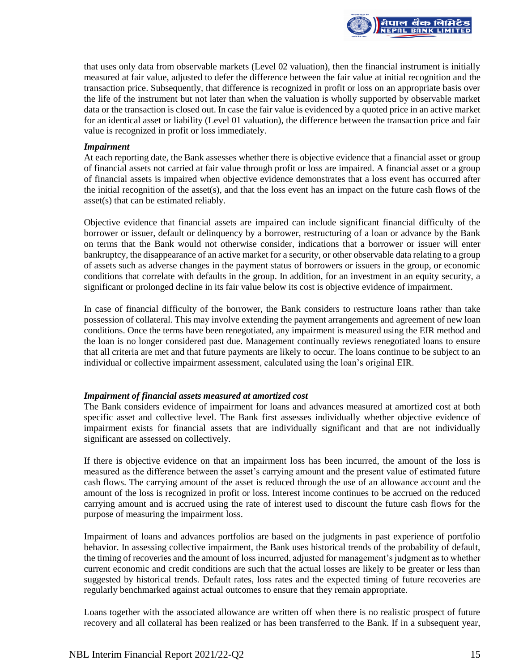

that uses only data from observable markets (Level 02 valuation), then the financial instrument is initially measured at fair value, adjusted to defer the difference between the fair value at initial recognition and the transaction price. Subsequently, that difference is recognized in profit or loss on an appropriate basis over the life of the instrument but not later than when the valuation is wholly supported by observable market data or the transaction is closed out. In case the fair value is evidenced by a quoted price in an active market for an identical asset or liability (Level 01 valuation), the difference between the transaction price and fair value is recognized in profit or loss immediately.

### *Impairment*

At each reporting date, the Bank assesses whether there is objective evidence that a financial asset or group of financial assets not carried at fair value through profit or loss are impaired. A financial asset or a group of financial assets is impaired when objective evidence demonstrates that a loss event has occurred after the initial recognition of the asset(s), and that the loss event has an impact on the future cash flows of the asset(s) that can be estimated reliably.

Objective evidence that financial assets are impaired can include significant financial difficulty of the borrower or issuer, default or delinquency by a borrower, restructuring of a loan or advance by the Bank on terms that the Bank would not otherwise consider, indications that a borrower or issuer will enter bankruptcy, the disappearance of an active market for a security, or other observable data relating to a group of assets such as adverse changes in the payment status of borrowers or issuers in the group, or economic conditions that correlate with defaults in the group. In addition, for an investment in an equity security, a significant or prolonged decline in its fair value below its cost is objective evidence of impairment.

In case of financial difficulty of the borrower, the Bank considers to restructure loans rather than take possession of collateral. This may involve extending the payment arrangements and agreement of new loan conditions. Once the terms have been renegotiated, any impairment is measured using the EIR method and the loan is no longer considered past due. Management continually reviews renegotiated loans to ensure that all criteria are met and that future payments are likely to occur. The loans continue to be subject to an individual or collective impairment assessment, calculated using the loan's original EIR.

## *Impairment of financial assets measured at amortized cost*

The Bank considers evidence of impairment for loans and advances measured at amortized cost at both specific asset and collective level. The Bank first assesses individually whether objective evidence of impairment exists for financial assets that are individually significant and that are not individually significant are assessed on collectively.

If there is objective evidence on that an impairment loss has been incurred, the amount of the loss is measured as the difference between the asset's carrying amount and the present value of estimated future cash flows. The carrying amount of the asset is reduced through the use of an allowance account and the amount of the loss is recognized in profit or loss. Interest income continues to be accrued on the reduced carrying amount and is accrued using the rate of interest used to discount the future cash flows for the purpose of measuring the impairment loss.

Impairment of loans and advances portfolios are based on the judgments in past experience of portfolio behavior. In assessing collective impairment, the Bank uses historical trends of the probability of default, the timing of recoveries and the amount of loss incurred, adjusted for management's judgment as to whether current economic and credit conditions are such that the actual losses are likely to be greater or less than suggested by historical trends. Default rates, loss rates and the expected timing of future recoveries are regularly benchmarked against actual outcomes to ensure that they remain appropriate.

Loans together with the associated allowance are written off when there is no realistic prospect of future recovery and all collateral has been realized or has been transferred to the Bank. If in a subsequent year,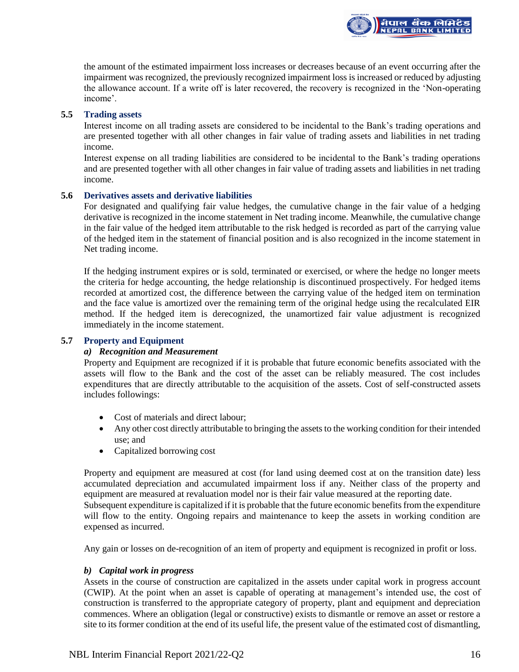the amount of the estimated impairment loss increases or decreases because of an event occurring after the impairment was recognized, the previously recognized impairment loss is increased or reduced by adjusting the allowance account. If a write off is later recovered, the recovery is recognized in the 'Non-operating income'.

<mark>ìपाल बैंक लिमिटेड</mark><br>IEPAL BANK LIMITED

## **5.5 Trading assets**

Interest income on all trading assets are considered to be incidental to the Bank's trading operations and are presented together with all other changes in fair value of trading assets and liabilities in net trading income.

Interest expense on all trading liabilities are considered to be incidental to the Bank's trading operations and are presented together with all other changes in fair value of trading assets and liabilities in net trading income.

### **5.6 Derivatives assets and derivative liabilities**

For designated and qualifying fair value hedges, the cumulative change in the fair value of a hedging derivative is recognized in the income statement in Net trading income. Meanwhile, the cumulative change in the fair value of the hedged item attributable to the risk hedged is recorded as part of the carrying value of the hedged item in the statement of financial position and is also recognized in the income statement in Net trading income.

If the hedging instrument expires or is sold, terminated or exercised, or where the hedge no longer meets the criteria for hedge accounting, the hedge relationship is discontinued prospectively. For hedged items recorded at amortized cost, the difference between the carrying value of the hedged item on termination and the face value is amortized over the remaining term of the original hedge using the recalculated EIR method. If the hedged item is derecognized, the unamortized fair value adjustment is recognized immediately in the income statement.

## **5.7 Property and Equipment**

#### *a) Recognition and Measurement*

Property and Equipment are recognized if it is probable that future economic benefits associated with the assets will flow to the Bank and the cost of the asset can be reliably measured. The cost includes expenditures that are directly attributable to the acquisition of the assets. Cost of self-constructed assets includes followings:

- Cost of materials and direct labour;
- Any other cost directly attributable to bringing the assets to the working condition for their intended use; and
- Capitalized borrowing cost

Property and equipment are measured at cost (for land using deemed cost at on the transition date) less accumulated depreciation and accumulated impairment loss if any. Neither class of the property and equipment are measured at revaluation model nor is their fair value measured at the reporting date. Subsequent expenditure is capitalized if it is probable that the future economic benefits from the expenditure will flow to the entity. Ongoing repairs and maintenance to keep the assets in working condition are expensed as incurred.

Any gain or losses on de-recognition of an item of property and equipment is recognized in profit or loss.

## *b) Capital work in progress*

Assets in the course of construction are capitalized in the assets under capital work in progress account (CWIP). At the point when an asset is capable of operating at management's intended use, the cost of construction is transferred to the appropriate category of property, plant and equipment and depreciation commences. Where an obligation (legal or constructive) exists to dismantle or remove an asset or restore a site to its former condition at the end of its useful life, the present value of the estimated cost of dismantling,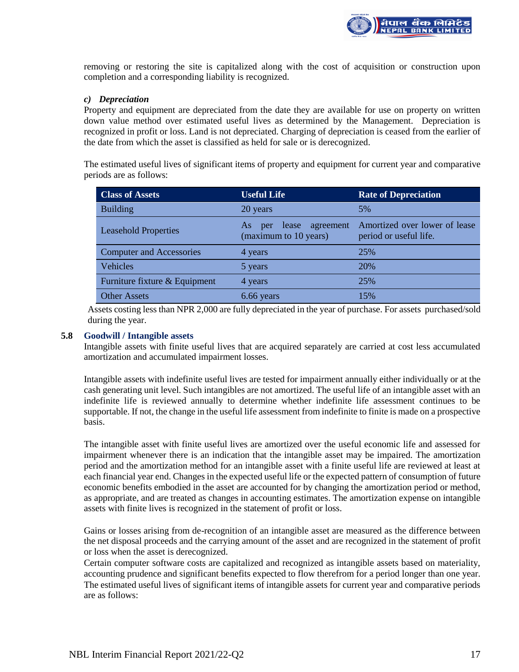

removing or restoring the site is capitalized along with the cost of acquisition or construction upon completion and a corresponding liability is recognized.

## *c) Depreciation*

Property and equipment are depreciated from the date they are available for use on property on written down value method over estimated useful lives as determined by the Management. Depreciation is recognized in profit or loss. Land is not depreciated. Charging of depreciation is ceased from the earlier of the date from which the asset is classified as held for sale or is derecognized.

The estimated useful lives of significant items of property and equipment for current year and comparative periods are as follows:

| <b>Class of Assets</b>          | <b>Useful Life</b>                                    | <b>Rate of Depreciation</b>                             |  |  |
|---------------------------------|-------------------------------------------------------|---------------------------------------------------------|--|--|
| <b>Building</b>                 | 20 years                                              | 5%                                                      |  |  |
| <b>Leasehold Properties</b>     | agreement<br>per lease<br>As<br>(maximum to 10 years) | Amortized over lower of lease<br>period or useful life. |  |  |
| <b>Computer and Accessories</b> | 4 years                                               | 25%                                                     |  |  |
| Vehicles                        | 5 years                                               | 20%                                                     |  |  |
| Furniture fixture & Equipment   | 4 years                                               | 25%                                                     |  |  |
| <b>Other Assets</b>             | 6.66 years                                            | 15%                                                     |  |  |

Assets costing less than NPR 2,000 are fully depreciated in the year of purchase. For assets purchased/sold during the year.

#### **5.8 Goodwill / Intangible assets**

Intangible assets with finite useful lives that are acquired separately are carried at cost less accumulated amortization and accumulated impairment losses.

Intangible assets with indefinite useful lives are tested for impairment annually either individually or at the cash generating unit level. Such intangibles are not amortized. The useful life of an intangible asset with an indefinite life is reviewed annually to determine whether indefinite life assessment continues to be supportable. If not, the change in the useful life assessment from indefinite to finite is made on a prospective basis.

The intangible asset with finite useful lives are amortized over the useful economic life and assessed for impairment whenever there is an indication that the intangible asset may be impaired. The amortization period and the amortization method for an intangible asset with a finite useful life are reviewed at least at each financial year end. Changes in the expected useful life or the expected pattern of consumption of future economic benefits embodied in the asset are accounted for by changing the amortization period or method, as appropriate, and are treated as changes in accounting estimates. The amortization expense on intangible assets with finite lives is recognized in the statement of profit or loss.

Gains or losses arising from de-recognition of an intangible asset are measured as the difference between the net disposal proceeds and the carrying amount of the asset and are recognized in the statement of profit or loss when the asset is derecognized.

Certain computer software costs are capitalized and recognized as intangible assets based on materiality, accounting prudence and significant benefits expected to flow therefrom for a period longer than one year. The estimated useful lives of significant items of intangible assets for current year and comparative periods are as follows: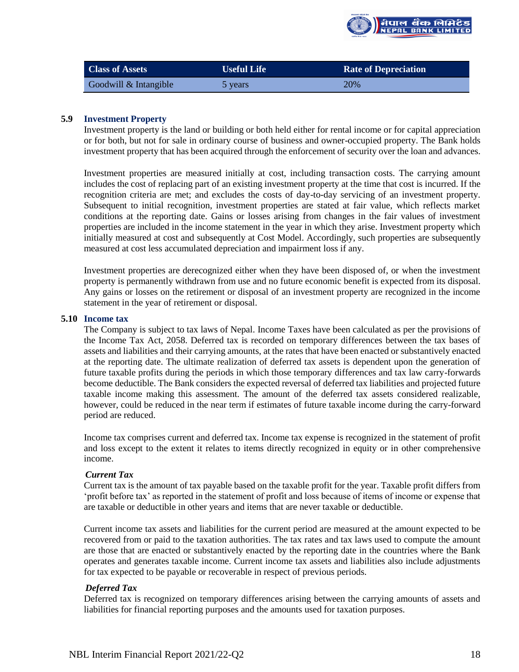

| <b>Class of Assets</b> | <b>Useful Life</b> | <b>Rate of Depreciation</b> |  |  |
|------------------------|--------------------|-----------------------------|--|--|
| Goodwill & Intangible  | 5 years            | 20%                         |  |  |

## **5.9 Investment Property**

Investment property is the land or building or both held either for rental income or for capital appreciation or for both, but not for sale in ordinary course of business and owner-occupied property. The Bank holds investment property that has been acquired through the enforcement of security over the loan and advances.

Investment properties are measured initially at cost, including transaction costs. The carrying amount includes the cost of replacing part of an existing investment property at the time that cost is incurred. If the recognition criteria are met; and excludes the costs of day-to-day servicing of an investment property. Subsequent to initial recognition, investment properties are stated at fair value, which reflects market conditions at the reporting date. Gains or losses arising from changes in the fair values of investment properties are included in the income statement in the year in which they arise. Investment property which initially measured at cost and subsequently at Cost Model. Accordingly, such properties are subsequently measured at cost less accumulated depreciation and impairment loss if any.

Investment properties are derecognized either when they have been disposed of, or when the investment property is permanently withdrawn from use and no future economic benefit is expected from its disposal. Any gains or losses on the retirement or disposal of an investment property are recognized in the income statement in the year of retirement or disposal.

#### **5.10 Income tax**

The Company is subject to tax laws of Nepal. Income Taxes have been calculated as per the provisions of the Income Tax Act, 2058. Deferred tax is recorded on temporary differences between the tax bases of assets and liabilities and their carrying amounts, at the rates that have been enacted or substantively enacted at the reporting date. The ultimate realization of deferred tax assets is dependent upon the generation of future taxable profits during the periods in which those temporary differences and tax law carry-forwards become deductible. The Bank considers the expected reversal of deferred tax liabilities and projected future taxable income making this assessment. The amount of the deferred tax assets considered realizable, however, could be reduced in the near term if estimates of future taxable income during the carry-forward period are reduced.

Income tax comprises current and deferred tax. Income tax expense is recognized in the statement of profit and loss except to the extent it relates to items directly recognized in equity or in other comprehensive income.

#### *Current Tax*

Current tax is the amount of tax payable based on the taxable profit for the year. Taxable profit differs from 'profit before tax' as reported in the statement of profit and loss because of items of income or expense that are taxable or deductible in other years and items that are never taxable or deductible.

Current income tax assets and liabilities for the current period are measured at the amount expected to be recovered from or paid to the taxation authorities. The tax rates and tax laws used to compute the amount are those that are enacted or substantively enacted by the reporting date in the countries where the Bank operates and generates taxable income. Current income tax assets and liabilities also include adjustments for tax expected to be payable or recoverable in respect of previous periods.

#### *Deferred Tax*

Deferred tax is recognized on temporary differences arising between the carrying amounts of assets and liabilities for financial reporting purposes and the amounts used for taxation purposes.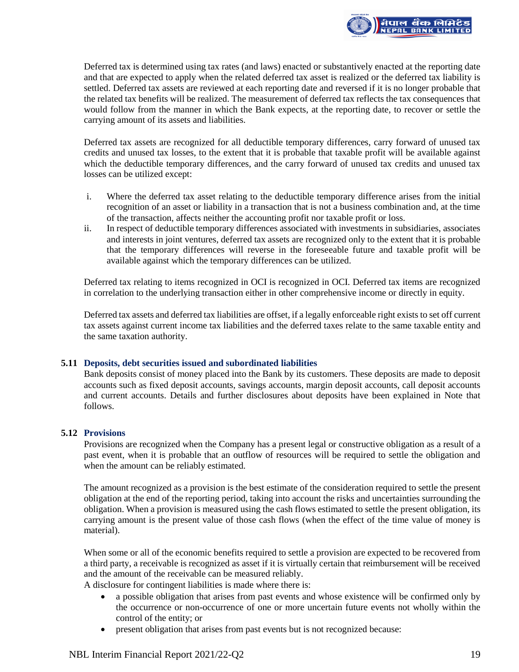

Deferred tax is determined using tax rates (and laws) enacted or substantively enacted at the reporting date and that are expected to apply when the related deferred tax asset is realized or the deferred tax liability is settled. Deferred tax assets are reviewed at each reporting date and reversed if it is no longer probable that the related tax benefits will be realized. The measurement of deferred tax reflects the tax consequences that would follow from the manner in which the Bank expects, at the reporting date, to recover or settle the carrying amount of its assets and liabilities.

Deferred tax assets are recognized for all deductible temporary differences, carry forward of unused tax credits and unused tax losses, to the extent that it is probable that taxable profit will be available against which the deductible temporary differences, and the carry forward of unused tax credits and unused tax losses can be utilized except:

- i. Where the deferred tax asset relating to the deductible temporary difference arises from the initial recognition of an asset or liability in a transaction that is not a business combination and, at the time of the transaction, affects neither the accounting profit nor taxable profit or loss.
- ii. In respect of deductible temporary differences associated with investments in subsidiaries, associates and interests in joint ventures, deferred tax assets are recognized only to the extent that it is probable that the temporary differences will reverse in the foreseeable future and taxable profit will be available against which the temporary differences can be utilized.

Deferred tax relating to items recognized in OCI is recognized in OCI. Deferred tax items are recognized in correlation to the underlying transaction either in other comprehensive income or directly in equity.

Deferred tax assets and deferred tax liabilities are offset, if a legally enforceable right exists to set off current tax assets against current income tax liabilities and the deferred taxes relate to the same taxable entity and the same taxation authority.

## **5.11 Deposits, debt securities issued and subordinated liabilities**

Bank deposits consist of money placed into the Bank by its customers. These deposits are made to deposit accounts such as fixed deposit accounts, savings accounts, margin deposit accounts, call deposit accounts and current accounts. Details and further disclosures about deposits have been explained in Note that follows.

## **5.12 Provisions**

Provisions are recognized when the Company has a present legal or constructive obligation as a result of a past event, when it is probable that an outflow of resources will be required to settle the obligation and when the amount can be reliably estimated.

The amount recognized as a provision is the best estimate of the consideration required to settle the present obligation at the end of the reporting period, taking into account the risks and uncertainties surrounding the obligation. When a provision is measured using the cash flows estimated to settle the present obligation, its carrying amount is the present value of those cash flows (when the effect of the time value of money is material).

When some or all of the economic benefits required to settle a provision are expected to be recovered from a third party, a receivable is recognized as asset if it is virtually certain that reimbursement will be received and the amount of the receivable can be measured reliably.

A disclosure for contingent liabilities is made where there is:

- a possible obligation that arises from past events and whose existence will be confirmed only by the occurrence or non-occurrence of one or more uncertain future events not wholly within the control of the entity; or
- present obligation that arises from past events but is not recognized because: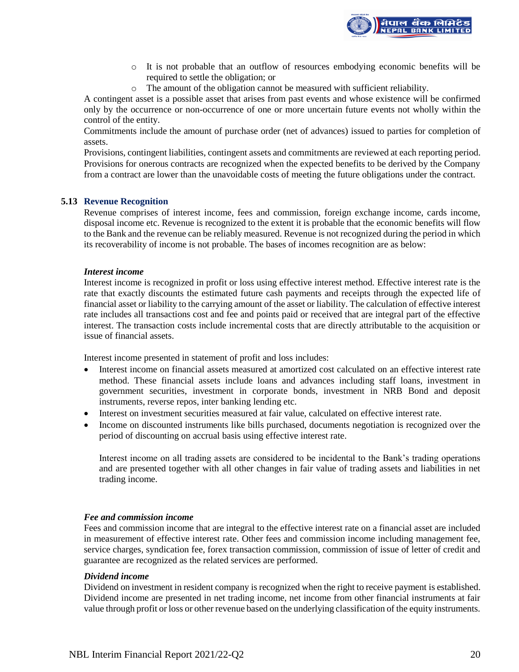

- o It is not probable that an outflow of resources embodying economic benefits will be required to settle the obligation; or
- o The amount of the obligation cannot be measured with sufficient reliability.

A contingent asset is a possible asset that arises from past events and whose existence will be confirmed only by the occurrence or non-occurrence of one or more uncertain future events not wholly within the control of the entity.

Commitments include the amount of purchase order (net of advances) issued to parties for completion of assets.

Provisions, contingent liabilities, contingent assets and commitments are reviewed at each reporting period. Provisions for onerous contracts are recognized when the expected benefits to be derived by the Company from a contract are lower than the unavoidable costs of meeting the future obligations under the contract.

### **5.13 Revenue Recognition**

Revenue comprises of interest income, fees and commission, foreign exchange income, cards income, disposal income etc. Revenue is recognized to the extent it is probable that the economic benefits will flow to the Bank and the revenue can be reliably measured. Revenue is not recognized during the period in which its recoverability of income is not probable. The bases of incomes recognition are as below:

#### *Interest income*

Interest income is recognized in profit or loss using effective interest method. Effective interest rate is the rate that exactly discounts the estimated future cash payments and receipts through the expected life of financial asset or liability to the carrying amount of the asset or liability. The calculation of effective interest rate includes all transactions cost and fee and points paid or received that are integral part of the effective interest. The transaction costs include incremental costs that are directly attributable to the acquisition or issue of financial assets.

Interest income presented in statement of profit and loss includes:

- Interest income on financial assets measured at amortized cost calculated on an effective interest rate method. These financial assets include loans and advances including staff loans, investment in government securities, investment in corporate bonds, investment in NRB Bond and deposit instruments, reverse repos, inter banking lending etc.
- Interest on investment securities measured at fair value, calculated on effective interest rate.
- Income on discounted instruments like bills purchased, documents negotiation is recognized over the period of discounting on accrual basis using effective interest rate.

Interest income on all trading assets are considered to be incidental to the Bank's trading operations and are presented together with all other changes in fair value of trading assets and liabilities in net trading income.

#### *Fee and commission income*

Fees and commission income that are integral to the effective interest rate on a financial asset are included in measurement of effective interest rate. Other fees and commission income including management fee, service charges, syndication fee, forex transaction commission, commission of issue of letter of credit and guarantee are recognized as the related services are performed.

#### *Dividend income*

Dividend on investment in resident company is recognized when the right to receive payment is established. Dividend income are presented in net trading income, net income from other financial instruments at fair value through profit or loss or other revenue based on the underlying classification of the equity instruments.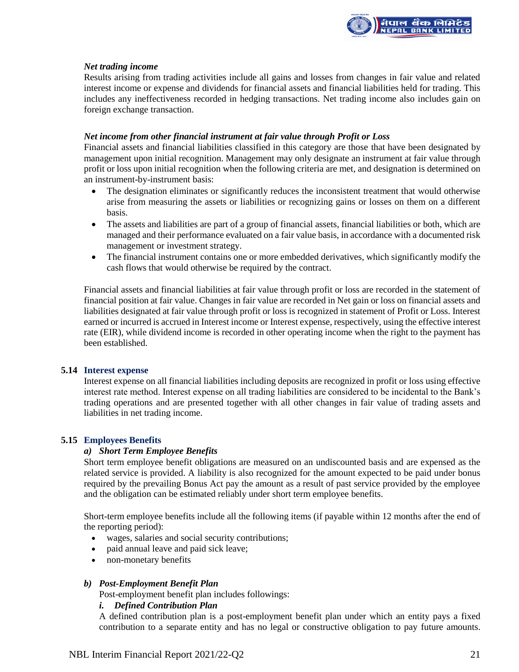

## *Net trading income*

Results arising from trading activities include all gains and losses from changes in fair value and related interest income or expense and dividends for financial assets and financial liabilities held for trading. This includes any ineffectiveness recorded in hedging transactions. Net trading income also includes gain on foreign exchange transaction.

#### *Net income from other financial instrument at fair value through Profit or Loss*

Financial assets and financial liabilities classified in this category are those that have been designated by management upon initial recognition. Management may only designate an instrument at fair value through profit or loss upon initial recognition when the following criteria are met, and designation is determined on an instrument-by-instrument basis:

- The designation eliminates or significantly reduces the inconsistent treatment that would otherwise arise from measuring the assets or liabilities or recognizing gains or losses on them on a different basis.
- The assets and liabilities are part of a group of financial assets, financial liabilities or both, which are managed and their performance evaluated on a fair value basis, in accordance with a documented risk management or investment strategy.
- The financial instrument contains one or more embedded derivatives, which significantly modify the cash flows that would otherwise be required by the contract.

Financial assets and financial liabilities at fair value through profit or loss are recorded in the statement of financial position at fair value. Changes in fair value are recorded in Net gain or loss on financial assets and liabilities designated at fair value through profit or loss is recognized in statement of Profit or Loss. Interest earned or incurred is accrued in Interest income or Interest expense, respectively, using the effective interest rate (EIR), while dividend income is recorded in other operating income when the right to the payment has been established.

#### **5.14 Interest expense**

Interest expense on all financial liabilities including deposits are recognized in profit or loss using effective interest rate method. Interest expense on all trading liabilities are considered to be incidental to the Bank's trading operations and are presented together with all other changes in fair value of trading assets and liabilities in net trading income.

## **5.15 Employees Benefits**

## *a) Short Term Employee Benefits*

Short term employee benefit obligations are measured on an undiscounted basis and are expensed as the related service is provided. A liability is also recognized for the amount expected to be paid under bonus required by the prevailing Bonus Act pay the amount as a result of past service provided by the employee and the obligation can be estimated reliably under short term employee benefits.

Short-term employee benefits include all the following items (if payable within 12 months after the end of the reporting period):

- wages, salaries and social security contributions;
- paid annual leave and paid sick leave;
- non-monetary benefits

#### *b) Post-Employment Benefit Plan*

Post-employment benefit plan includes followings:

#### *i. Defined Contribution Plan*

A defined contribution plan is a post-employment benefit plan under which an entity pays a fixed contribution to a separate entity and has no legal or constructive obligation to pay future amounts.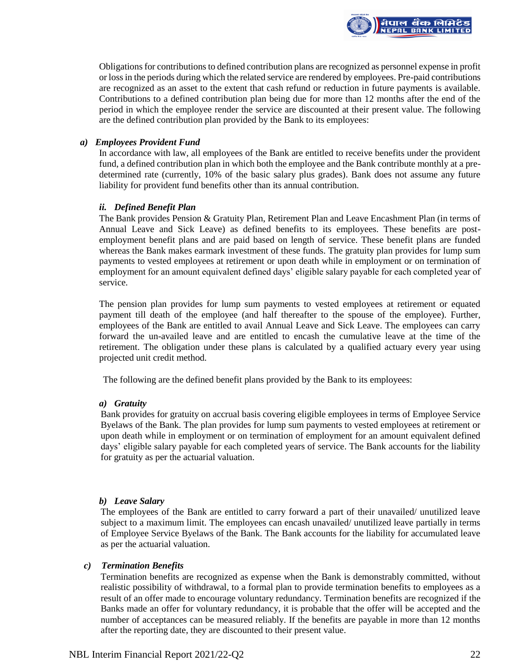

Obligations for contributions to defined contribution plans are recognized as personnel expense in profit or loss in the periods during which the related service are rendered by employees. Pre-paid contributions are recognized as an asset to the extent that cash refund or reduction in future payments is available. Contributions to a defined contribution plan being due for more than 12 months after the end of the period in which the employee render the service are discounted at their present value. The following are the defined contribution plan provided by the Bank to its employees:

### *a) Employees Provident Fund*

In accordance with law, all employees of the Bank are entitled to receive benefits under the provident fund, a defined contribution plan in which both the employee and the Bank contribute monthly at a predetermined rate (currently, 10% of the basic salary plus grades). Bank does not assume any future liability for provident fund benefits other than its annual contribution.

### *ii. Defined Benefit Plan*

The Bank provides Pension & Gratuity Plan, Retirement Plan and Leave Encashment Plan (in terms of Annual Leave and Sick Leave) as defined benefits to its employees. These benefits are postemployment benefit plans and are paid based on length of service. These benefit plans are funded whereas the Bank makes earmark investment of these funds. The gratuity plan provides for lump sum payments to vested employees at retirement or upon death while in employment or on termination of employment for an amount equivalent defined days' eligible salary payable for each completed year of service.

The pension plan provides for lump sum payments to vested employees at retirement or equated payment till death of the employee (and half thereafter to the spouse of the employee). Further, employees of the Bank are entitled to avail Annual Leave and Sick Leave. The employees can carry forward the un-availed leave and are entitled to encash the cumulative leave at the time of the retirement. The obligation under these plans is calculated by a qualified actuary every year using projected unit credit method.

The following are the defined benefit plans provided by the Bank to its employees:

#### *a) Gratuity*

Bank provides for gratuity on accrual basis covering eligible employees in terms of Employee Service Byelaws of the Bank. The plan provides for lump sum payments to vested employees at retirement or upon death while in employment or on termination of employment for an amount equivalent defined days' eligible salary payable for each completed years of service. The Bank accounts for the liability for gratuity as per the actuarial valuation.

#### *b) Leave Salary*

The employees of the Bank are entitled to carry forward a part of their unavailed/ unutilized leave subject to a maximum limit. The employees can encash unavailed/ unutilized leave partially in terms of Employee Service Byelaws of the Bank. The Bank accounts for the liability for accumulated leave as per the actuarial valuation.

#### *c) Termination Benefits*

Termination benefits are recognized as expense when the Bank is demonstrably committed, without realistic possibility of withdrawal, to a formal plan to provide termination benefits to employees as a result of an offer made to encourage voluntary redundancy. Termination benefits are recognized if the Banks made an offer for voluntary redundancy, it is probable that the offer will be accepted and the number of acceptances can be measured reliably. If the benefits are payable in more than 12 months after the reporting date, they are discounted to their present value.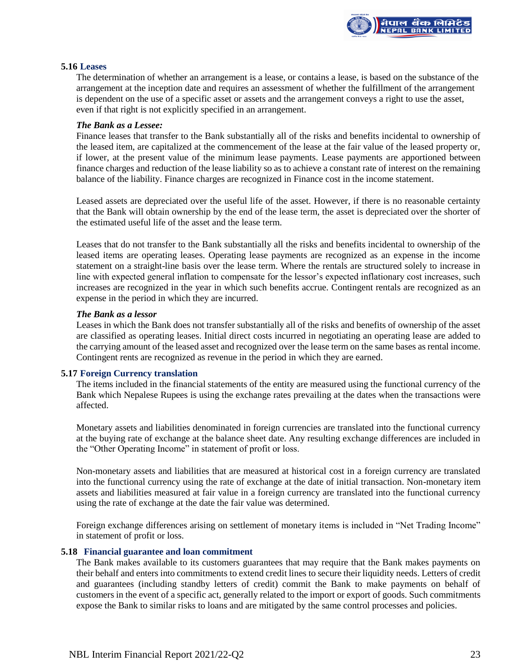

#### **5.16 Leases**

The determination of whether an arrangement is a lease, or contains a lease, is based on the substance of the arrangement at the inception date and requires an assessment of whether the fulfillment of the arrangement is dependent on the use of a specific asset or assets and the arrangement conveys a right to use the asset, even if that right is not explicitly specified in an arrangement.

#### *The Bank as a Lessee:*

Finance leases that transfer to the Bank substantially all of the risks and benefits incidental to ownership of the leased item, are capitalized at the commencement of the lease at the fair value of the leased property or, if lower, at the present value of the minimum lease payments. Lease payments are apportioned between finance charges and reduction of the lease liability so as to achieve a constant rate of interest on the remaining balance of the liability. Finance charges are recognized in Finance cost in the income statement.

Leased assets are depreciated over the useful life of the asset. However, if there is no reasonable certainty that the Bank will obtain ownership by the end of the lease term, the asset is depreciated over the shorter of the estimated useful life of the asset and the lease term.

Leases that do not transfer to the Bank substantially all the risks and benefits incidental to ownership of the leased items are operating leases. Operating lease payments are recognized as an expense in the income statement on a straight-line basis over the lease term. Where the rentals are structured solely to increase in line with expected general inflation to compensate for the lessor's expected inflationary cost increases, such increases are recognized in the year in which such benefits accrue. Contingent rentals are recognized as an expense in the period in which they are incurred.

### *The Bank as a lessor*

Leases in which the Bank does not transfer substantially all of the risks and benefits of ownership of the asset are classified as operating leases. Initial direct costs incurred in negotiating an operating lease are added to the carrying amount of the leased asset and recognized over the lease term on the same bases as rental income. Contingent rents are recognized as revenue in the period in which they are earned.

#### **5.17 Foreign Currency translation**

The items included in the financial statements of the entity are measured using the functional currency of the Bank which Nepalese Rupees is using the exchange rates prevailing at the dates when the transactions were affected.

Monetary assets and liabilities denominated in foreign currencies are translated into the functional currency at the buying rate of exchange at the balance sheet date. Any resulting exchange differences are included in the "Other Operating Income" in statement of profit or loss.

Non-monetary assets and liabilities that are measured at historical cost in a foreign currency are translated into the functional currency using the rate of exchange at the date of initial transaction. Non-monetary item assets and liabilities measured at fair value in a foreign currency are translated into the functional currency using the rate of exchange at the date the fair value was determined.

Foreign exchange differences arising on settlement of monetary items is included in "Net Trading Income" in statement of profit or loss.

#### **5.18 Financial guarantee and loan commitment**

The Bank makes available to its customers guarantees that may require that the Bank makes payments on their behalf and enters into commitments to extend credit lines to secure their liquidity needs. Letters of credit and guarantees (including standby letters of credit) commit the Bank to make payments on behalf of customers in the event of a specific act, generally related to the import or export of goods. Such commitments expose the Bank to similar risks to loans and are mitigated by the same control processes and policies.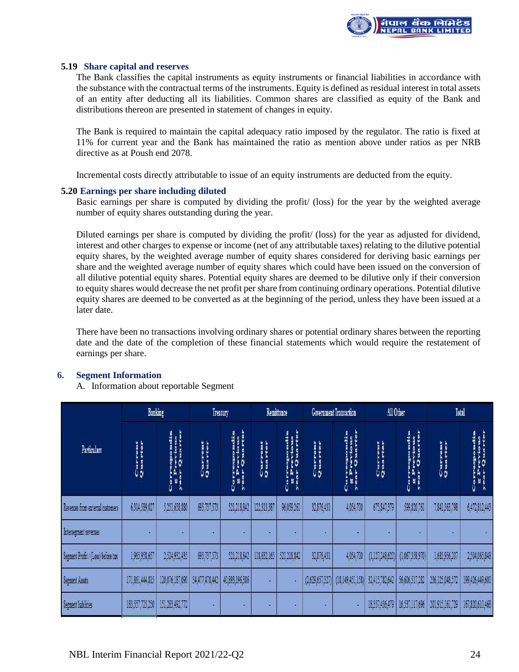

#### **5.19 Share capital and reserves**

The Bank classifies the capital instruments as equity instruments or financial liabilities in accordance with the substance with the contractual terms of the instruments. Equity is defined as residual interest in total assets of an entity after deducting all its liabilities. Common shares are classified as equity of the Bank and distributions thereon are presented in statement of changes in equity.

The Bank is required to maintain the capital adequacy ratio imposed by the regulator. The ratio is fixed at 11% for current year and the Bank has maintained the ratio as mention above under ratios as per NRB directive as at Poush end 2078.

Incremental costs directly attributable to issue of an equity instruments are deducted from the equity.

#### **5.20 Earnings per share including diluted**

Basic earnings per share is computed by dividing the profit/ (loss) for the year by the weighted average number of equity shares outstanding during the year.

Diluted earnings per share is computed by dividing the profit/ (loss) for the year as adjusted for dividend, interest and other charges to expense or income (net of any attributable taxes) relating to the dilutive potential equity shares, by the weighted average number of equity shares considered for deriving basic earnings per share and the weighted average number of equity shares which could have been issued on the conversion of all dilutive potential equity shares. Potential equity shares are deemed to be dilutive only if their conversion to equity shares would decrease the net profit per share from continuing ordinary operations. Potential dilutive equity shares are deemed to be converted as at the beginning of the period, unless they have been issued at a later date.

There have been no transactions involving ordinary shares or potential ordinary shares between the reporting date and the date of the completion of these financial statements which would require the restatement of earnings per share.

## **6. Segment Information**

A. Information about reportable Segment

|                                    | <b>Banking</b>     |                            | Treasury           |                                           | Remittance                |                      | <b>Government Transaction</b> |                                                      | All Other          |                 | Total              |                                                      |
|------------------------------------|--------------------|----------------------------|--------------------|-------------------------------------------|---------------------------|----------------------|-------------------------------|------------------------------------------------------|--------------------|-----------------|--------------------|------------------------------------------------------|
| Particulars                        | Current<br>Quarter | ren<br>Qu<br>$\frac{1}{3}$ | Current<br>Quarter | Quarte<br>pondi<br>vious<br>a a<br>a<br>a | <b>Current</b><br>Quarter | uor<br>Correspondent | Current<br>Quarter            | espondin<br>revious<br>Quarte<br>EA<br>$\frac{1}{2}$ | Current<br>Quarter | ð<br>ő          | Current<br>Quarter | mondin<br>Trious<br>Correspo<br>E Previo<br>E Previo |
| Revenues from external customers   | 6,314,589,027      | 5,251,658,880              | 695,737,573        | 521,218,842                               | 122,313,387               | 96.059,261           | 32,876,431                    | 4,054,700                                            | 675,847,379        | 599,820,761     | 7,841,363,798      | 6,472,812,443                                        |
| Intersegment revenues              |                    |                            | ٠                  | ٠                                         | ٥                         | ٠                    |                               | ٠                                                    |                    | ¥               |                    |                                                      |
| Segment Profit / (Loss) before tax | 1,965,958,657      | 2.524.932.435              | 695,737,573        | 521,218,842                               | 118,632,165               | 521,218,842          | 32,876,431                    | 4,054,700                                            | (1, 127, 248, 620) | (1,067,358,970) | 1,685,956,207      | 2,504,065,848                                        |
| Segment Assets                     | 171,861,444,815    | 120,076,187,090            | 34,477,478,442     | 40,893,196,386                            |                           |                      | (2,629,657,327)               | (18, 149, 451, 158)                                  | 32,415,782,642     | 56,606,517,282  | 236,125,048,572    | 199,426,449,600                                      |
| Segment liabilities                | 183,557,725,250    | 151,283,492,772            | ٠                  | ٠                                         | ٠                         |                      |                               | h                                                    | 18,357,436,479     | 16,537,117,696  | 201,915,161,729    | 167,820,610,468                                      |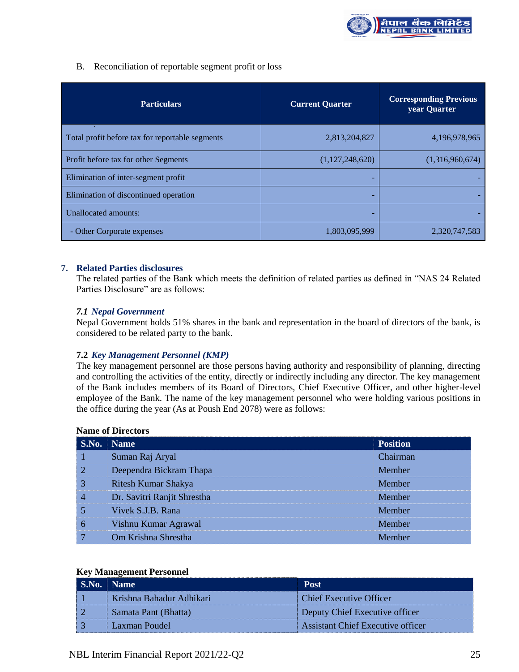

## B. Reconciliation of reportable segment profit or loss

| <b>Particulars</b>                              | <b>Current Quarter</b> | <b>Corresponding Previous</b><br>year Quarter |  |  |
|-------------------------------------------------|------------------------|-----------------------------------------------|--|--|
| Total profit before tax for reportable segments | 2,813,204,827          | 4,196,978,965                                 |  |  |
| Profit before tax for other Segments            | (1,127,248,620)        | (1,316,960,674)                               |  |  |
| Elimination of inter-segment profit             |                        |                                               |  |  |
| Elimination of discontinued operation           | -                      |                                               |  |  |
| Unallocated amounts:                            |                        |                                               |  |  |
| - Other Corporate expenses                      | 1,803,095,999          | 2,320,747,583                                 |  |  |

### **7. Related Parties disclosures**

The related parties of the Bank which meets the definition of related parties as defined in "NAS 24 Related Parties Disclosure" are as follows:

## *7.1 Nepal Government*

Nepal Government holds 51% shares in the bank and representation in the board of directors of the bank, is considered to be related party to the bank.

## **7.2** *Key Management Personnel (KMP)*

The key management personnel are those persons having authority and responsibility of planning, directing and controlling the activities of the entity, directly or indirectly including any director. The key management of the Bank includes members of its Board of Directors, Chief Executive Officer, and other higher-level employee of the Bank. The name of the key management personnel who were holding various positions in the office during the year (As at Poush End 2078) were as follows:

#### **Name of Directors**

| S.No.          | <b>Name</b>                 | <b>Position</b> |
|----------------|-----------------------------|-----------------|
|                | Suman Raj Aryal             | Chairman        |
| $\overline{2}$ | Deependra Bickram Thapa     | Member          |
| 3              | Ritesh Kumar Shakya         | Member          |
| 4              | Dr. Savitri Ranjit Shrestha | Member          |
|                | Vivek S.J.B. Rana           | Member          |
| 6              | Vishnu Kumar Agrawal        | Member          |
|                | Om Krishna Shrestha         | Member          |

## **Key Management Personnel**

| <b>S.No. Name</b>        | Post                              |
|--------------------------|-----------------------------------|
| Krishna Bahadur Adhikari | Chief Executive Officer           |
| Samata Pant (Bhatta)     | Deputy Chief Executive officer    |
| Laxman Poudel            | Assistant Chief Executive officer |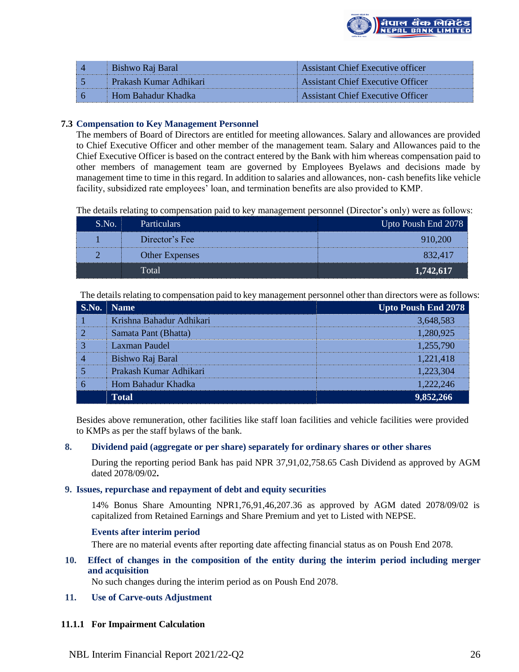

| ! ⊿            | Bishwo Raj Baral         | Assistant Chief Executive officer |
|----------------|--------------------------|-----------------------------------|
| 55             | - Prakash Kumar Adhikari | Assistant Chief Executive Officer |
| $\overline{6}$ | - Hom Bahadur Khadka     | Assistant Chief Executive Officer |

## **7.3 Compensation to Key Management Personnel**

The members of Board of Directors are entitled for meeting allowances. Salary and allowances are provided to Chief Executive Officer and other member of the management team. Salary and Allowances paid to the Chief Executive Officer is based on the contract entered by the Bank with him whereas compensation paid to other members of management team are governed by Employees Byelaws and decisions made by management time to time in this regard. In addition to salaries and allowances, non- cash benefits like vehicle facility, subsidized rate employees' loan, and termination benefits are also provided to KMP.

The details relating to compensation paid to key management personnel (Director's only) were as follows:

| S.No. | <b>Particulars</b>    | Upto Poush End 2078 |
|-------|-----------------------|---------------------|
|       | Director's Fee        | 910.200             |
|       | <b>Other Expenses</b> | 832.417             |
|       | Total                 | 1,742,617           |

The details relating to compensation paid to key management personnel other than directors were as follows:

| S.No. | Name                     | Upto Poush End 2078 |
|-------|--------------------------|---------------------|
|       | Krishna Bahadur Adhikari | 3,648,583           |
|       | Samata Pant (Bhatta)     | 1,280,925           |
|       | Laxman Paudel            | 1,255,790           |
|       | Bishwo Raj Baral         | 1,221,418           |
|       | Prakash Kumar Adhikari   | 1,223,304           |
|       | Hom Bahadur Khadka       | 1,222,246           |
|       | Total                    |                     |

Besides above remuneration, other facilities like staff loan facilities and vehicle facilities were provided to KMPs as per the staff bylaws of the bank.

## **8. Dividend paid (aggregate or per share) separately for ordinary shares or other shares**

During the reporting period Bank has paid NPR 37,91,02,758.65 Cash Dividend as approved by AGM dated 2078/09/02**.**

### **9. Issues, repurchase and repayment of debt and equity securities**

14% Bonus Share Amounting NPR1,76,91,46,207.36 as approved by AGM dated 2078/09/02 is capitalized from Retained Earnings and Share Premium and yet to Listed with NEPSE.

## **Events after interim period**

There are no material events after reporting date affecting financial status as on Poush End 2078.

**10. Effect of changes in the composition of the entity during the interim period including merger and acquisition**

No such changes during the interim period as on Poush End 2078.

## **11. Use of Carve-outs Adjustment**

#### **11.1.1 For Impairment Calculation**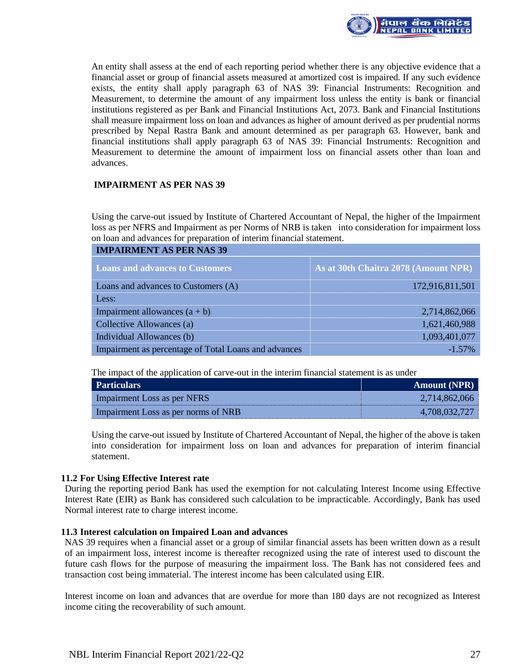

An entity shall assess at the end of each reporting period whether there is any objective evidence that a financial asset or group of financial assets measured at amortized cost is impaired. If any such evidence exists, the entity shall apply paragraph 63 of NAS 39: Financial Instruments: Recognition and Measurement, to determine the amount of any impairment loss unless the entity is bank or financial institutions registered as per Bank and Financial Institutions Act, 2073. Bank and Financial Institutions shall measure impairment loss on loan and advances as higher of amount derived as per prudential norms prescribed by Nepal Rastra Bank and amount determined as per paragraph 63. However, bank and financial institutions shall apply paragraph 63 of NAS 39: Financial Instruments: Recognition and Measurement to determine the amount of impairment loss on financial assets other than loan and advances.

## **IMPAIRMENT AS PER NAS 39**

Using the carve-out issued by Institute of Chartered Accountant of Nepal, the higher of the Impairment loss as per NFRS and Impairment as per Norms of NRB is taken into consideration for impairment loss on loan and advances for preparation of interim financial statement.

| <b>IMPAIRMENT AS PER NAS 39</b>                      |                                      |  |  |  |
|------------------------------------------------------|--------------------------------------|--|--|--|
| <b>Loans and advances to Customers</b>               | As at 30th Chaitra 2078 (Amount NPR) |  |  |  |
| Loans and advances to Customers (A)                  | 172,916,811,501                      |  |  |  |
| Less:                                                |                                      |  |  |  |
| Impairment allowances $(a + b)$                      | 2,714,862,066                        |  |  |  |
| Collective Allowances (a)                            | 1,621,460,988                        |  |  |  |
| Individual Allowances (b)                            | 1,093,401,077                        |  |  |  |
| Impairment as percentage of Total Loans and advances | $-1.57\%$                            |  |  |  |

The impact of the application of carve-out in the interim financial statement is as under

| <b>Particulars</b>                  | <b>Amount (NPR)</b> |
|-------------------------------------|---------------------|
| Impairment Loss as per NFRS         | 2.714,862,066       |
| Impairment Loss as per norms of NRB | 4,708,032,727       |

Using the carve-out issued by Institute of Chartered Accountant of Nepal, the higher of the above is taken into consideration for impairment loss on loan and advances for preparation of interim financial statement.

## **11.2 For Using Effective Interest rate**

During the reporting period Bank has used the exemption for not calculating Interest Income using Effective Interest Rate (EIR) as Bank has considered such calculation to be impracticable. Accordingly, Bank has used Normal interest rate to charge interest income.

#### **11.3 Interest calculation on Impaired Loan and advances**

NAS 39 requires when a financial asset or a group of similar financial assets has been written down as a result of an impairment loss, interest income is thereafter recognized using the rate of interest used to discount the future cash flows for the purpose of measuring the impairment loss. The Bank has not considered fees and transaction cost being immaterial. The interest income has been calculated using EIR.

Interest income on loan and advances that are overdue for more than 180 days are not recognized as Interest income citing the recoverability of such amount.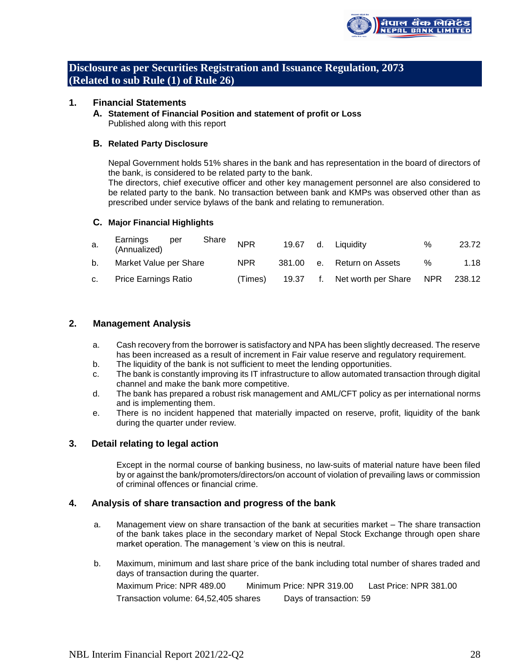

**Disclosure as per Securities Registration and Issuance Regulation, 2073 (Related to sub Rule (1) of Rule 26)**

## **1. Financial Statements**

**A. Statement of Financial Position and statement of profit or Loss** Published along with this report

#### **B. Related Party Disclosure**

Nepal Government holds 51% shares in the bank and has representation in the board of directors of the bank, is considered to be related party to the bank.

The directors, chief executive officer and other key management personnel are also considered to be related party to the bank. No transaction between bank and KMPs was observed other than as prescribed under service bylaws of the bank and relating to remuneration.

### **C. Major Financial Highlights**

| a. | Earnings<br>(Annualized)<br>per | Share | <b>NPR</b> | 19.67  | d. | Liauidity           | %   | 23.72  |
|----|---------------------------------|-------|------------|--------|----|---------------------|-----|--------|
| b. | Market Value per Share          |       | <b>NPR</b> | 381.00 |    | e. Return on Assets | %   | 1.18   |
|    | <b>Price Earnings Ratio</b>     |       | Times)     | 19.37  | t. | Net worth per Share | NPR | 238.12 |

## **2. Management Analysis**

- a. Cash recovery from the borrower is satisfactory and NPA has been slightly decreased. The reserve has been increased as a result of increment in Fair value reserve and regulatory requirement.
- b. The liquidity of the bank is not sufficient to meet the lending opportunities.
- c. The bank is constantly improving its IT infrastructure to allow automated transaction through digital channel and make the bank more competitive.
- d. The bank has prepared a robust risk management and AML/CFT policy as per international norms and is implementing them.
- e. There is no incident happened that materially impacted on reserve, profit, liquidity of the bank during the quarter under review.

## **3. Detail relating to legal action**

Except in the normal course of banking business, no law-suits of material nature have been filed by or against the bank/promoters/directors/on account of violation of prevailing laws or commission of criminal offences or financial crime.

## **4. Analysis of share transaction and progress of the bank**

- a. Management view on share transaction of the bank at securities market The share transaction of the bank takes place in the secondary market of Nepal Stock Exchange through open share market operation. The management 's view on this is neutral.
- b. Maximum, minimum and last share price of the bank including total number of shares traded and days of transaction during the quarter. Maximum Price: NPR 489.00 Minimum Price: NPR 319.00 Last Price: NPR 381.00 Transaction volume: 64,52,405 shares Days of transaction: 59